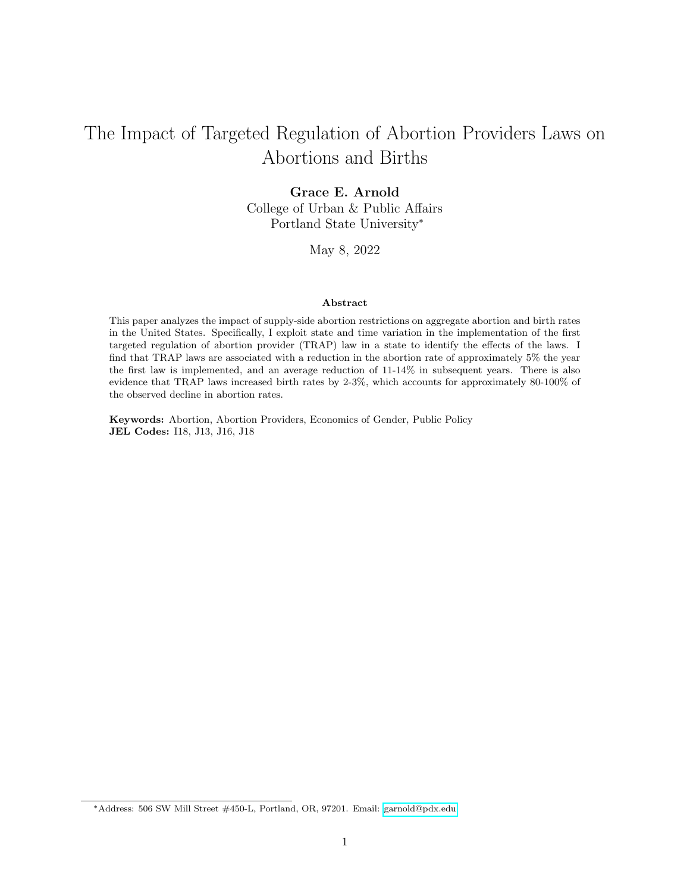# The Impact of Targeted Regulation of Abortion Providers Laws on Abortions and Births

### Grace E. Arnold

College of Urban & Public Affairs Portland State University<sup>∗</sup>

May 8, 2022

#### Abstract

This paper analyzes the impact of supply-side abortion restrictions on aggregate abortion and birth rates in the United States. Specifically, I exploit state and time variation in the implementation of the first targeted regulation of abortion provider (TRAP) law in a state to identify the effects of the laws. I find that TRAP laws are associated with a reduction in the abortion rate of approximately 5% the year the first law is implemented, and an average reduction of 11-14% in subsequent years. There is also evidence that TRAP laws increased birth rates by 2-3%, which accounts for approximately 80-100% of the observed decline in abortion rates.

Keywords: Abortion, Abortion Providers, Economics of Gender, Public Policy JEL Codes: I18, J13, J16, J18

<sup>∗</sup>Address: 506 SW Mill Street #450-L, Portland, OR, 97201. Email: [garnold@pdx.edu](mailto:garnold@pdx.edu)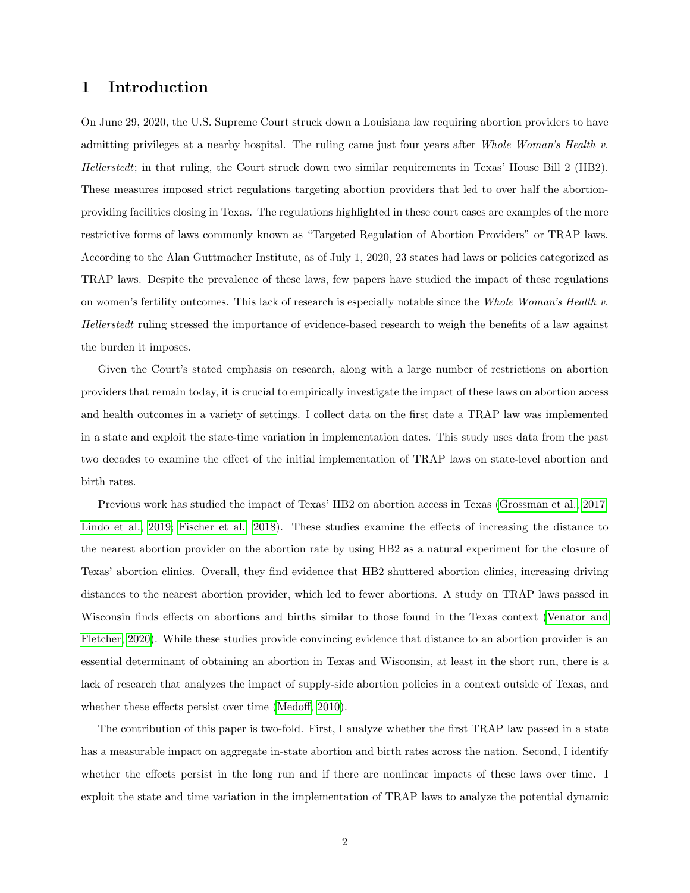## 1 Introduction

On June 29, 2020, the U.S. Supreme Court struck down a Louisiana law requiring abortion providers to have admitting privileges at a nearby hospital. The ruling came just four years after Whole Woman's Health v. Hellerstedt; in that ruling, the Court struck down two similar requirements in Texas' House Bill 2 (HB2). These measures imposed strict regulations targeting abortion providers that led to over half the abortionproviding facilities closing in Texas. The regulations highlighted in these court cases are examples of the more restrictive forms of laws commonly known as "Targeted Regulation of Abortion Providers" or TRAP laws. According to the Alan Guttmacher Institute, as of July 1, 2020, 23 states had laws or policies categorized as TRAP laws. Despite the prevalence of these laws, few papers have studied the impact of these regulations on women's fertility outcomes. This lack of research is especially notable since the Whole Woman's Health v. Hellerstedt ruling stressed the importance of evidence-based research to weigh the benefits of a law against the burden it imposes.

Given the Court's stated emphasis on research, along with a large number of restrictions on abortion providers that remain today, it is crucial to empirically investigate the impact of these laws on abortion access and health outcomes in a variety of settings. I collect data on the first date a TRAP law was implemented in a state and exploit the state-time variation in implementation dates. This study uses data from the past two decades to examine the effect of the initial implementation of TRAP laws on state-level abortion and birth rates.

Previous work has studied the impact of Texas' HB2 on abortion access in Texas [\(Grossman et al., 2017;](#page-31-0) [Lindo et al., 2019;](#page-32-0) [Fischer et al., 2018\)](#page-30-0). These studies examine the effects of increasing the distance to the nearest abortion provider on the abortion rate by using HB2 as a natural experiment for the closure of Texas' abortion clinics. Overall, they find evidence that HB2 shuttered abortion clinics, increasing driving distances to the nearest abortion provider, which led to fewer abortions. A study on TRAP laws passed in Wisconsin finds effects on abortions and births similar to those found in the Texas context [\(Venator and](#page-33-0) [Fletcher, 2020\)](#page-33-0). While these studies provide convincing evidence that distance to an abortion provider is an essential determinant of obtaining an abortion in Texas and Wisconsin, at least in the short run, there is a lack of research that analyzes the impact of supply-side abortion policies in a context outside of Texas, and whether these effects persist over time [\(Medoff, 2010\)](#page-32-1).

The contribution of this paper is two-fold. First, I analyze whether the first TRAP law passed in a state has a measurable impact on aggregate in-state abortion and birth rates across the nation. Second, I identify whether the effects persist in the long run and if there are nonlinear impacts of these laws over time. I exploit the state and time variation in the implementation of TRAP laws to analyze the potential dynamic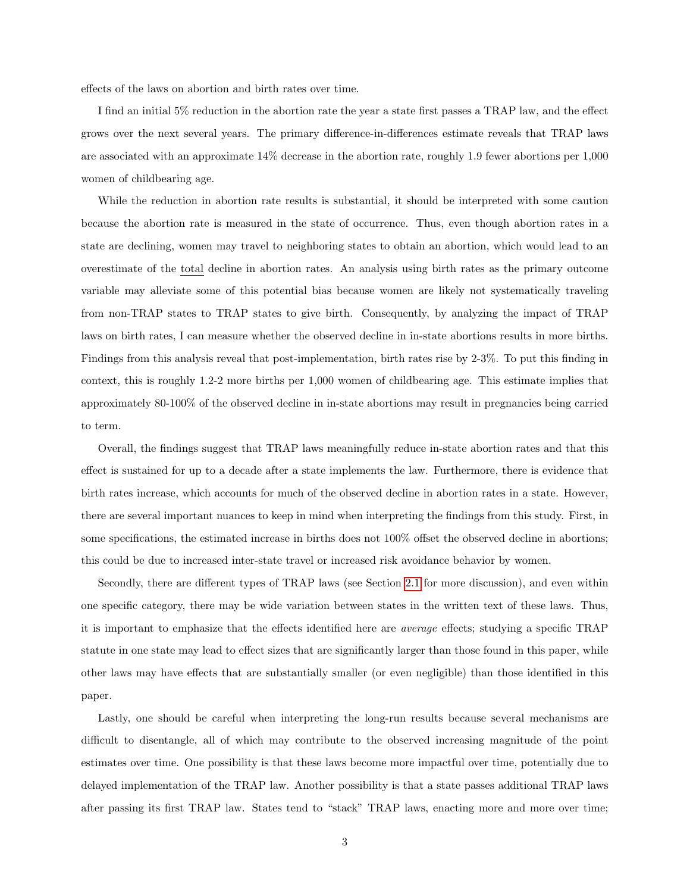effects of the laws on abortion and birth rates over time.

I find an initial 5% reduction in the abortion rate the year a state first passes a TRAP law, and the effect grows over the next several years. The primary difference-in-differences estimate reveals that TRAP laws are associated with an approximate 14% decrease in the abortion rate, roughly 1.9 fewer abortions per 1,000 women of childbearing age.

While the reduction in abortion rate results is substantial, it should be interpreted with some caution because the abortion rate is measured in the state of occurrence. Thus, even though abortion rates in a state are declining, women may travel to neighboring states to obtain an abortion, which would lead to an overestimate of the total decline in abortion rates. An analysis using birth rates as the primary outcome variable may alleviate some of this potential bias because women are likely not systematically traveling from non-TRAP states to TRAP states to give birth. Consequently, by analyzing the impact of TRAP laws on birth rates, I can measure whether the observed decline in in-state abortions results in more births. Findings from this analysis reveal that post-implementation, birth rates rise by 2-3%. To put this finding in context, this is roughly 1.2-2 more births per 1,000 women of childbearing age. This estimate implies that approximately 80-100% of the observed decline in in-state abortions may result in pregnancies being carried to term.

Overall, the findings suggest that TRAP laws meaningfully reduce in-state abortion rates and that this effect is sustained for up to a decade after a state implements the law. Furthermore, there is evidence that birth rates increase, which accounts for much of the observed decline in abortion rates in a state. However, there are several important nuances to keep in mind when interpreting the findings from this study. First, in some specifications, the estimated increase in births does not 100% offset the observed decline in abortions; this could be due to increased inter-state travel or increased risk avoidance behavior by women.

Secondly, there are different types of TRAP laws (see Section [2.1](#page-3-0) for more discussion), and even within one specific category, there may be wide variation between states in the written text of these laws. Thus, it is important to emphasize that the effects identified here are average effects; studying a specific TRAP statute in one state may lead to effect sizes that are significantly larger than those found in this paper, while other laws may have effects that are substantially smaller (or even negligible) than those identified in this paper.

Lastly, one should be careful when interpreting the long-run results because several mechanisms are difficult to disentangle, all of which may contribute to the observed increasing magnitude of the point estimates over time. One possibility is that these laws become more impactful over time, potentially due to delayed implementation of the TRAP law. Another possibility is that a state passes additional TRAP laws after passing its first TRAP law. States tend to "stack" TRAP laws, enacting more and more over time;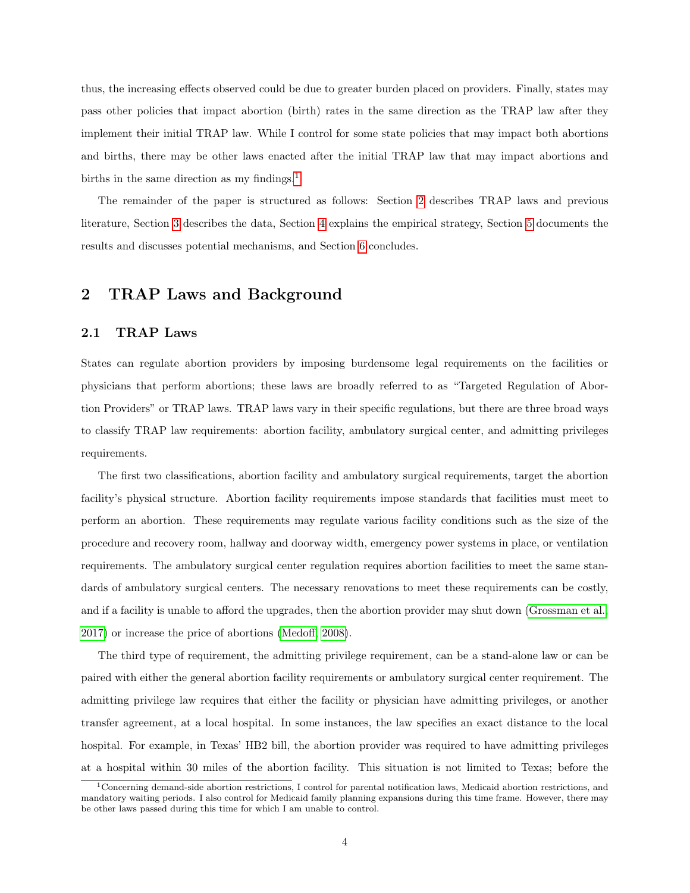thus, the increasing effects observed could be due to greater burden placed on providers. Finally, states may pass other policies that impact abortion (birth) rates in the same direction as the TRAP law after they implement their initial TRAP law. While I control for some state policies that may impact both abortions and births, there may be other laws enacted after the initial TRAP law that may impact abortions and births in the same direction as my findings.<sup>[1](#page-3-1)</sup>

The remainder of the paper is structured as follows: Section [2](#page-3-2) describes TRAP laws and previous literature, Section [3](#page-7-0) describes the data, Section [4](#page-11-0) explains the empirical strategy, Section [5](#page-14-0) documents the results and discusses potential mechanisms, and Section [6](#page-29-0) concludes.

## <span id="page-3-2"></span>2 TRAP Laws and Background

## <span id="page-3-0"></span>2.1 TRAP Laws

States can regulate abortion providers by imposing burdensome legal requirements on the facilities or physicians that perform abortions; these laws are broadly referred to as "Targeted Regulation of Abortion Providers" or TRAP laws. TRAP laws vary in their specific regulations, but there are three broad ways to classify TRAP law requirements: abortion facility, ambulatory surgical center, and admitting privileges requirements.

The first two classifications, abortion facility and ambulatory surgical requirements, target the abortion facility's physical structure. Abortion facility requirements impose standards that facilities must meet to perform an abortion. These requirements may regulate various facility conditions such as the size of the procedure and recovery room, hallway and doorway width, emergency power systems in place, or ventilation requirements. The ambulatory surgical center regulation requires abortion facilities to meet the same standards of ambulatory surgical centers. The necessary renovations to meet these requirements can be costly, and if a facility is unable to afford the upgrades, then the abortion provider may shut down [\(Grossman et al.,](#page-31-0) [2017\)](#page-31-0) or increase the price of abortions [\(Medoff, 2008\)](#page-32-2).

The third type of requirement, the admitting privilege requirement, can be a stand-alone law or can be paired with either the general abortion facility requirements or ambulatory surgical center requirement. The admitting privilege law requires that either the facility or physician have admitting privileges, or another transfer agreement, at a local hospital. In some instances, the law specifies an exact distance to the local hospital. For example, in Texas' HB2 bill, the abortion provider was required to have admitting privileges at a hospital within 30 miles of the abortion facility. This situation is not limited to Texas; before the

<span id="page-3-1"></span><sup>1</sup>Concerning demand-side abortion restrictions, I control for parental notification laws, Medicaid abortion restrictions, and mandatory waiting periods. I also control for Medicaid family planning expansions during this time frame. However, there may be other laws passed during this time for which I am unable to control.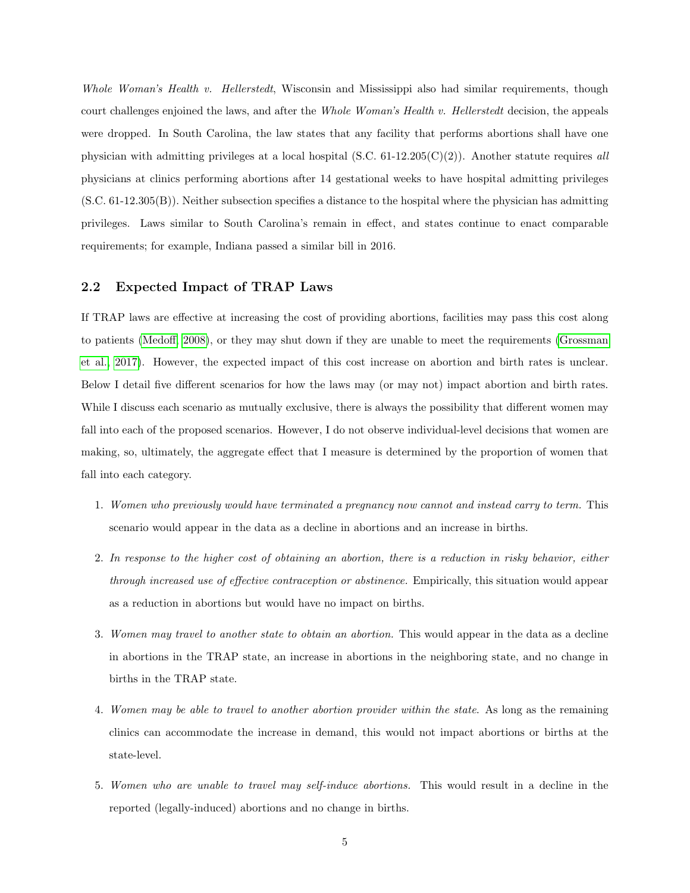Whole Woman's Health v. Hellerstedt, Wisconsin and Mississippi also had similar requirements, though court challenges enjoined the laws, and after the Whole Woman's Health v. Hellerstedt decision, the appeals were dropped. In South Carolina, the law states that any facility that performs abortions shall have one physician with admitting privileges at a local hospital (S.C. 61-12.205(C)(2)). Another statute requires all physicians at clinics performing abortions after 14 gestational weeks to have hospital admitting privileges (S.C. 61-12.305(B)). Neither subsection specifies a distance to the hospital where the physician has admitting privileges. Laws similar to South Carolina's remain in effect, and states continue to enact comparable requirements; for example, Indiana passed a similar bill in 2016.

### <span id="page-4-0"></span>2.2 Expected Impact of TRAP Laws

If TRAP laws are effective at increasing the cost of providing abortions, facilities may pass this cost along to patients [\(Medoff, 2008\)](#page-32-2), or they may shut down if they are unable to meet the requirements [\(Grossman](#page-31-0) [et al., 2017\)](#page-31-0). However, the expected impact of this cost increase on abortion and birth rates is unclear. Below I detail five different scenarios for how the laws may (or may not) impact abortion and birth rates. While I discuss each scenario as mutually exclusive, there is always the possibility that different women may fall into each of the proposed scenarios. However, I do not observe individual-level decisions that women are making, so, ultimately, the aggregate effect that I measure is determined by the proportion of women that fall into each category.

- 1. Women who previously would have terminated a pregnancy now cannot and instead carry to term. This scenario would appear in the data as a decline in abortions and an increase in births.
- 2. In response to the higher cost of obtaining an abortion, there is a reduction in risky behavior, either through increased use of effective contraception or abstinence. Empirically, this situation would appear as a reduction in abortions but would have no impact on births.
- 3. Women may travel to another state to obtain an abortion. This would appear in the data as a decline in abortions in the TRAP state, an increase in abortions in the neighboring state, and no change in births in the TRAP state.
- 4. Women may be able to travel to another abortion provider within the state. As long as the remaining clinics can accommodate the increase in demand, this would not impact abortions or births at the state-level.
- 5. Women who are unable to travel may self-induce abortions. This would result in a decline in the reported (legally-induced) abortions and no change in births.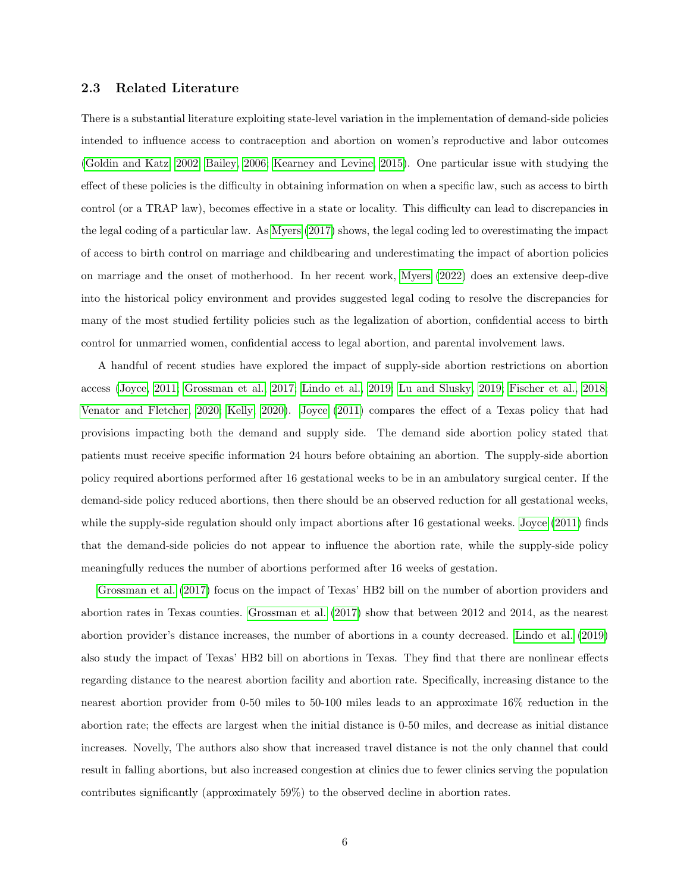#### 2.3 Related Literature

There is a substantial literature exploiting state-level variation in the implementation of demand-side policies intended to influence access to contraception and abortion on women's reproductive and labor outcomes [\(Goldin and Katz, 2002;](#page-30-1) [Bailey, 2006;](#page-30-2) [Kearney and Levine, 2015\)](#page-31-1). One particular issue with studying the effect of these policies is the difficulty in obtaining information on when a specific law, such as access to birth control (or a TRAP law), becomes effective in a state or locality. This difficulty can lead to discrepancies in the legal coding of a particular law. As [Myers](#page-32-3) [\(2017\)](#page-32-3) shows, the legal coding led to overestimating the impact of access to birth control on marriage and childbearing and underestimating the impact of abortion policies on marriage and the onset of motherhood. In her recent work, [Myers](#page-32-4) [\(2022\)](#page-32-4) does an extensive deep-dive into the historical policy environment and provides suggested legal coding to resolve the discrepancies for many of the most studied fertility policies such as the legalization of abortion, confidential access to birth control for unmarried women, confidential access to legal abortion, and parental involvement laws.

A handful of recent studies have explored the impact of supply-side abortion restrictions on abortion access [\(Joyce, 2011;](#page-31-2) [Grossman et al., 2017;](#page-31-0) [Lindo et al., 2019;](#page-32-0) [Lu and Slusky, 2019;](#page-32-5) [Fischer et al., 2018;](#page-30-0) [Venator and Fletcher, 2020;](#page-33-0) [Kelly, 2020\)](#page-31-3). [Joyce](#page-31-2) [\(2011\)](#page-31-2) compares the effect of a Texas policy that had provisions impacting both the demand and supply side. The demand side abortion policy stated that patients must receive specific information 24 hours before obtaining an abortion. The supply-side abortion policy required abortions performed after 16 gestational weeks to be in an ambulatory surgical center. If the demand-side policy reduced abortions, then there should be an observed reduction for all gestational weeks, while the supply-side regulation should only impact abortions after 16 gestational weeks. [Joyce](#page-31-2) [\(2011\)](#page-31-2) finds that the demand-side policies do not appear to influence the abortion rate, while the supply-side policy meaningfully reduces the number of abortions performed after 16 weeks of gestation.

[Grossman et al.](#page-31-0) [\(2017\)](#page-31-0) focus on the impact of Texas' HB2 bill on the number of abortion providers and abortion rates in Texas counties. [Grossman et al.](#page-31-0) [\(2017\)](#page-31-0) show that between 2012 and 2014, as the nearest abortion provider's distance increases, the number of abortions in a county decreased. [Lindo et al.](#page-32-0) [\(2019\)](#page-32-0) also study the impact of Texas' HB2 bill on abortions in Texas. They find that there are nonlinear effects regarding distance to the nearest abortion facility and abortion rate. Specifically, increasing distance to the nearest abortion provider from 0-50 miles to 50-100 miles leads to an approximate 16% reduction in the abortion rate; the effects are largest when the initial distance is 0-50 miles, and decrease as initial distance increases. Novelly, The authors also show that increased travel distance is not the only channel that could result in falling abortions, but also increased congestion at clinics due to fewer clinics serving the population contributes significantly (approximately 59%) to the observed decline in abortion rates.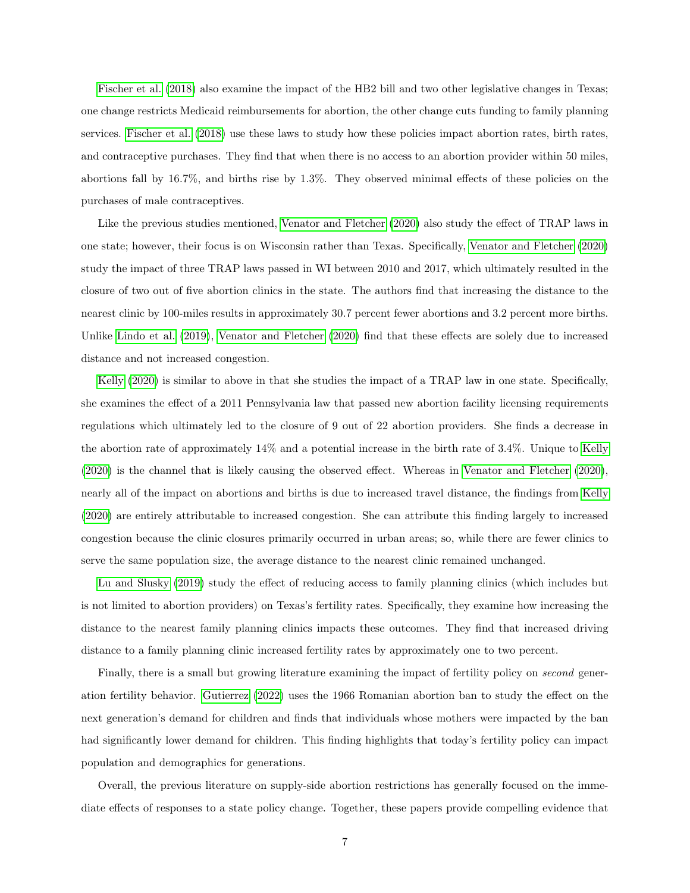[Fischer et al.](#page-30-0) [\(2018\)](#page-30-0) also examine the impact of the HB2 bill and two other legislative changes in Texas; one change restricts Medicaid reimbursements for abortion, the other change cuts funding to family planning services. [Fischer et al.](#page-30-0) [\(2018\)](#page-30-0) use these laws to study how these policies impact abortion rates, birth rates, and contraceptive purchases. They find that when there is no access to an abortion provider within 50 miles, abortions fall by 16.7%, and births rise by 1.3%. They observed minimal effects of these policies on the purchases of male contraceptives.

Like the previous studies mentioned, [Venator and Fletcher](#page-33-0) [\(2020\)](#page-33-0) also study the effect of TRAP laws in one state; however, their focus is on Wisconsin rather than Texas. Specifically, [Venator and Fletcher](#page-33-0) [\(2020\)](#page-33-0) study the impact of three TRAP laws passed in WI between 2010 and 2017, which ultimately resulted in the closure of two out of five abortion clinics in the state. The authors find that increasing the distance to the nearest clinic by 100-miles results in approximately 30.7 percent fewer abortions and 3.2 percent more births. Unlike [Lindo et al.](#page-32-0) [\(2019\)](#page-32-0), [Venator and Fletcher](#page-33-0) [\(2020\)](#page-33-0) find that these effects are solely due to increased distance and not increased congestion.

[Kelly](#page-31-3) [\(2020\)](#page-31-3) is similar to above in that she studies the impact of a TRAP law in one state. Specifically, she examines the effect of a 2011 Pennsylvania law that passed new abortion facility licensing requirements regulations which ultimately led to the closure of 9 out of 22 abortion providers. She finds a decrease in the abortion rate of approximately 14% and a potential increase in the birth rate of 3.4%. Unique to [Kelly](#page-31-3) [\(2020\)](#page-31-3) is the channel that is likely causing the observed effect. Whereas in [Venator and Fletcher](#page-33-0) [\(2020\)](#page-33-0), nearly all of the impact on abortions and births is due to increased travel distance, the findings from [Kelly](#page-31-3) [\(2020\)](#page-31-3) are entirely attributable to increased congestion. She can attribute this finding largely to increased congestion because the clinic closures primarily occurred in urban areas; so, while there are fewer clinics to serve the same population size, the average distance to the nearest clinic remained unchanged.

[Lu and Slusky](#page-32-5) [\(2019\)](#page-32-5) study the effect of reducing access to family planning clinics (which includes but is not limited to abortion providers) on Texas's fertility rates. Specifically, they examine how increasing the distance to the nearest family planning clinics impacts these outcomes. They find that increased driving distance to a family planning clinic increased fertility rates by approximately one to two percent.

Finally, there is a small but growing literature examining the impact of fertility policy on *second* generation fertility behavior. [Gutierrez](#page-31-4) [\(2022\)](#page-31-4) uses the 1966 Romanian abortion ban to study the effect on the next generation's demand for children and finds that individuals whose mothers were impacted by the ban had significantly lower demand for children. This finding highlights that today's fertility policy can impact population and demographics for generations.

Overall, the previous literature on supply-side abortion restrictions has generally focused on the immediate effects of responses to a state policy change. Together, these papers provide compelling evidence that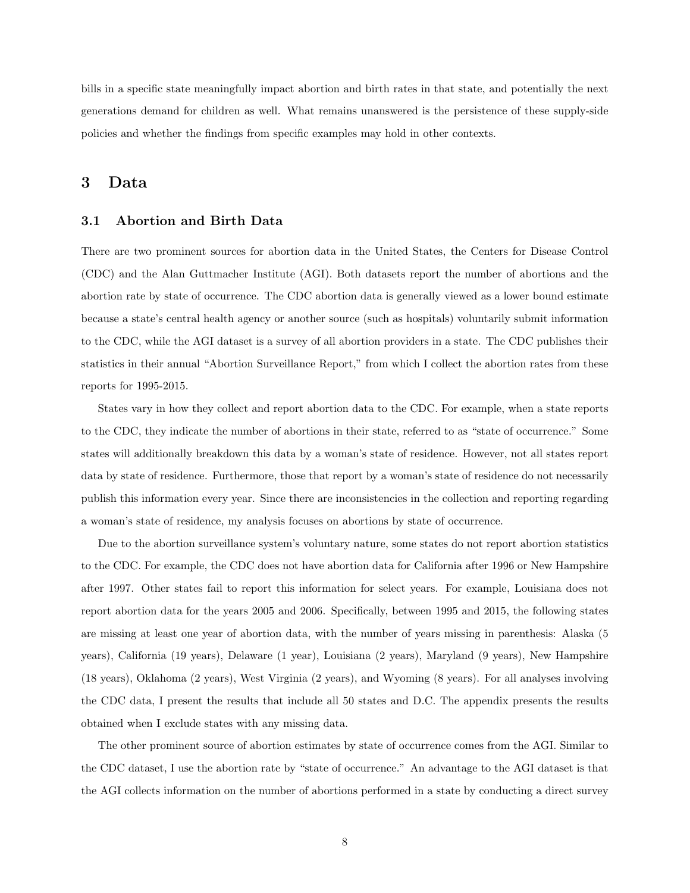bills in a specific state meaningfully impact abortion and birth rates in that state, and potentially the next generations demand for children as well. What remains unanswered is the persistence of these supply-side policies and whether the findings from specific examples may hold in other contexts.

## <span id="page-7-0"></span>3 Data

### 3.1 Abortion and Birth Data

There are two prominent sources for abortion data in the United States, the Centers for Disease Control (CDC) and the Alan Guttmacher Institute (AGI). Both datasets report the number of abortions and the abortion rate by state of occurrence. The CDC abortion data is generally viewed as a lower bound estimate because a state's central health agency or another source (such as hospitals) voluntarily submit information to the CDC, while the AGI dataset is a survey of all abortion providers in a state. The CDC publishes their statistics in their annual "Abortion Surveillance Report," from which I collect the abortion rates from these reports for 1995-2015.

States vary in how they collect and report abortion data to the CDC. For example, when a state reports to the CDC, they indicate the number of abortions in their state, referred to as "state of occurrence." Some states will additionally breakdown this data by a woman's state of residence. However, not all states report data by state of residence. Furthermore, those that report by a woman's state of residence do not necessarily publish this information every year. Since there are inconsistencies in the collection and reporting regarding a woman's state of residence, my analysis focuses on abortions by state of occurrence.

Due to the abortion surveillance system's voluntary nature, some states do not report abortion statistics to the CDC. For example, the CDC does not have abortion data for California after 1996 or New Hampshire after 1997. Other states fail to report this information for select years. For example, Louisiana does not report abortion data for the years 2005 and 2006. Specifically, between 1995 and 2015, the following states are missing at least one year of abortion data, with the number of years missing in parenthesis: Alaska (5 years), California (19 years), Delaware (1 year), Louisiana (2 years), Maryland (9 years), New Hampshire (18 years), Oklahoma (2 years), West Virginia (2 years), and Wyoming (8 years). For all analyses involving the CDC data, I present the results that include all 50 states and D.C. The appendix presents the results obtained when I exclude states with any missing data.

The other prominent source of abortion estimates by state of occurrence comes from the AGI. Similar to the CDC dataset, I use the abortion rate by "state of occurrence." An advantage to the AGI dataset is that the AGI collects information on the number of abortions performed in a state by conducting a direct survey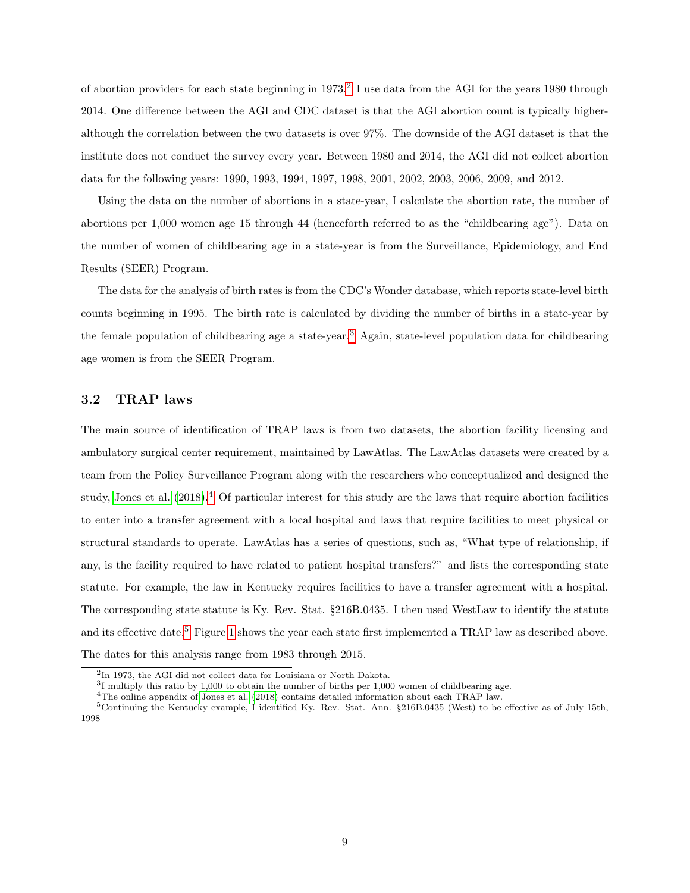of abortion providers for each state beginning in 1973.<sup>[2](#page-8-0)</sup> I use data from the AGI for the years 1980 through 2014. One difference between the AGI and CDC dataset is that the AGI abortion count is typically higheralthough the correlation between the two datasets is over 97%. The downside of the AGI dataset is that the institute does not conduct the survey every year. Between 1980 and 2014, the AGI did not collect abortion data for the following years: 1990, 1993, 1994, 1997, 1998, 2001, 2002, 2003, 2006, 2009, and 2012.

Using the data on the number of abortions in a state-year, I calculate the abortion rate, the number of abortions per 1,000 women age 15 through 44 (henceforth referred to as the "childbearing age"). Data on the number of women of childbearing age in a state-year is from the Surveillance, Epidemiology, and End Results (SEER) Program.

The data for the analysis of birth rates is from the CDC's Wonder database, which reports state-level birth counts beginning in 1995. The birth rate is calculated by dividing the number of births in a state-year by the female population of childbearing age a state-year.<sup>[3](#page-8-1)</sup> Again, state-level population data for childbearing age women is from the SEER Program.

## 3.2 TRAP laws

The main source of identification of TRAP laws is from two datasets, the abortion facility licensing and ambulatory surgical center requirement, maintained by LawAtlas. The LawAtlas datasets were created by a team from the Policy Surveillance Program along with the researchers who conceptualized and designed the study, [Jones et al.](#page-31-5)  $(2018).4$  $(2018).4$  $(2018).4$  Of particular interest for this study are the laws that require abortion facilities to enter into a transfer agreement with a local hospital and laws that require facilities to meet physical or structural standards to operate. LawAtlas has a series of questions, such as, "What type of relationship, if any, is the facility required to have related to patient hospital transfers?" and lists the corresponding state statute. For example, the law in Kentucky requires facilities to have a transfer agreement with a hospital. The corresponding state statute is Ky. Rev. Stat. §216B.0435. I then used WestLaw to identify the statute and its effective date.<sup>[5](#page-8-3)</sup> Figure [1](#page-9-0) shows the year each state first implemented a TRAP law as described above. The dates for this analysis range from 1983 through 2015.

<span id="page-8-0"></span><sup>2</sup> In 1973, the AGI did not collect data for Louisiana or North Dakota.

<span id="page-8-1"></span><sup>&</sup>lt;sup>3</sup>I multiply this ratio by 1,000 to obtain the number of births per 1,000 women of childbearing age.

<span id="page-8-3"></span><span id="page-8-2"></span><sup>4</sup>The online appendix of [Jones et al.](#page-31-5) [\(2018\)](#page-31-5) contains detailed information about each TRAP law.

<sup>5</sup>Continuing the Kentucky example, I identified Ky. Rev. Stat. Ann. §216B.0435 (West) to be effective as of July 15th, 1998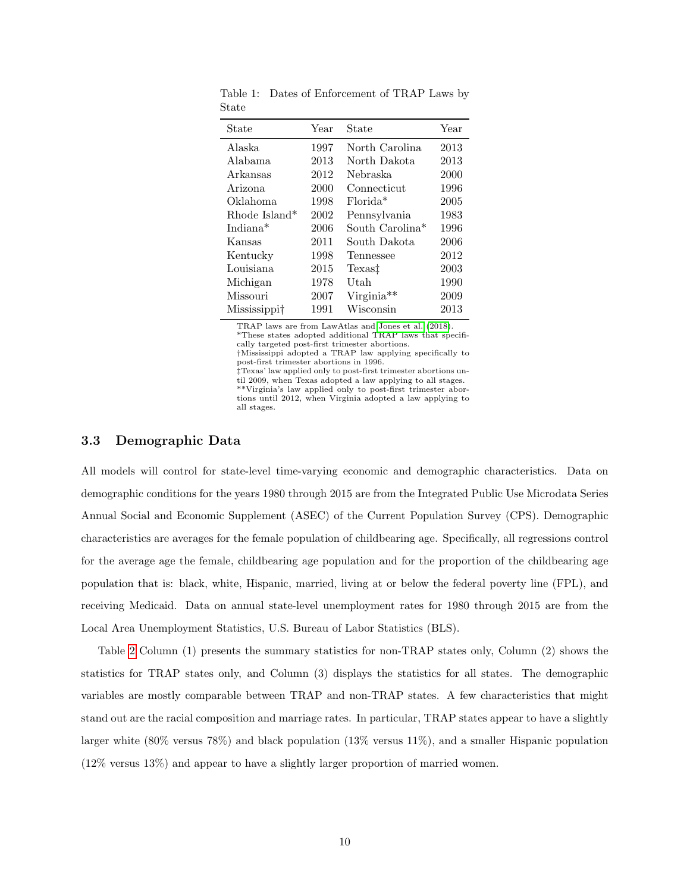| State                | Year | State                       | Year |
|----------------------|------|-----------------------------|------|
| Alaska               | 1997 | North Carolina              | 2013 |
| Alabama              | 2013 | North Dakota                | 2013 |
| Arkansas             | 2012 | Nebraska                    | 2000 |
| Arizona              | 2000 | Connecticut                 | 1996 |
| Oklahoma             | 1998 | $Florida*$                  | 2005 |
| Rhode Island*        | 2002 | Pennsylvania                | 1983 |
| Indiana <sup>*</sup> | 2006 | South Carolina <sup>*</sup> | 1996 |
| Kansas               | 2011 | South Dakota                | 2006 |
| Kentucky             | 1998 | Tennessee                   | 2012 |
| Louisiana            | 2015 | Texas‡                      | 2003 |
| Michigan             | 1978 | Utah                        | 1990 |
| Missouri             | 2007 | Virginia**                  | 2009 |
| Mississippi†         | 1991 | Wisconsin                   | 2013 |

<span id="page-9-0"></span>Table 1: Dates of Enforcement of TRAP Laws by State

TRAP laws are from LawAtlas and [Jones et al.](#page-31-5) [\(2018\)](#page-31-5).

\*These states adopted additional TRAP laws that specifically targeted post-first trimester abortions.

†Mississippi adopted a TRAP law applying specifically to post-first trimester abortions in 1996.

‡Texas' law applied only to post-first trimester abortions until 2009, when Texas adopted a law applying to all stages. \*\*Virginia's law applied only to post-first trimester abortions until 2012, when Virginia adopted a law applying to all stages.

### 3.3 Demographic Data

All models will control for state-level time-varying economic and demographic characteristics. Data on demographic conditions for the years 1980 through 2015 are from the Integrated Public Use Microdata Series Annual Social and Economic Supplement (ASEC) of the Current Population Survey (CPS). Demographic characteristics are averages for the female population of childbearing age. Specifically, all regressions control for the average age the female, childbearing age population and for the proportion of the childbearing age population that is: black, white, Hispanic, married, living at or below the federal poverty line (FPL), and receiving Medicaid. Data on annual state-level unemployment rates for 1980 through 2015 are from the Local Area Unemployment Statistics, U.S. Bureau of Labor Statistics (BLS).

Table [2](#page-10-0) Column (1) presents the summary statistics for non-TRAP states only, Column (2) shows the statistics for TRAP states only, and Column (3) displays the statistics for all states. The demographic variables are mostly comparable between TRAP and non-TRAP states. A few characteristics that might stand out are the racial composition and marriage rates. In particular, TRAP states appear to have a slightly larger white (80% versus 78%) and black population (13% versus 11%), and a smaller Hispanic population (12% versus 13%) and appear to have a slightly larger proportion of married women.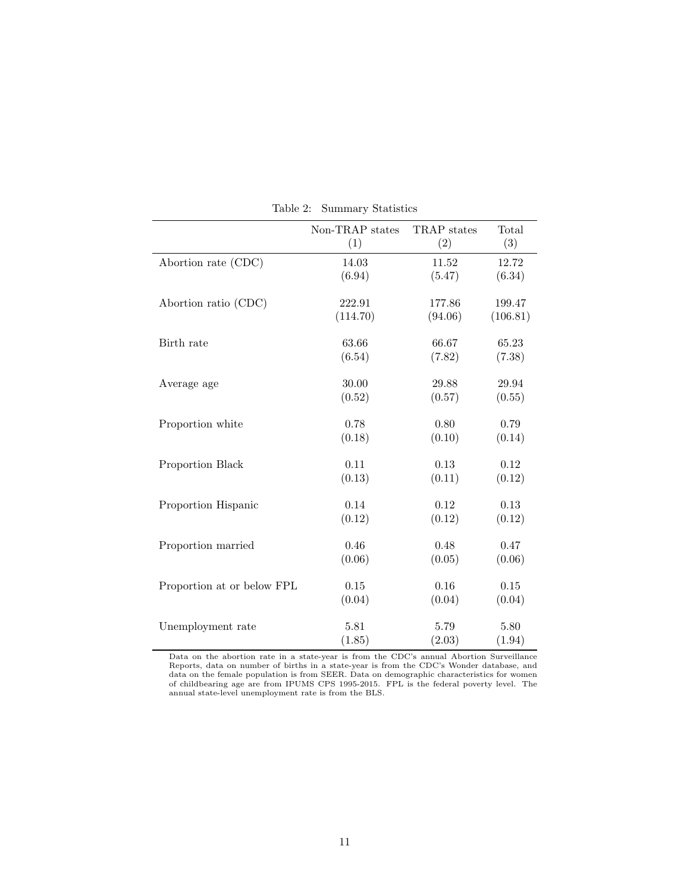|                            | Non-TRAP states    | TRAP states       | Total              |
|----------------------------|--------------------|-------------------|--------------------|
|                            | (1)                | (2)               | (3)                |
| Abortion rate (CDC)        | 14.03              | 11.52             | 12.72              |
|                            | (6.94)             | (5.47)            | (6.34)             |
|                            |                    |                   |                    |
| Abortion ratio (CDC)       | 222.91<br>(114.70) | 177.86<br>(94.06) | 199.47<br>(106.81) |
|                            |                    |                   |                    |
| Birth rate                 | 63.66              | 66.67             | 65.23              |
|                            | (6.54)             | (7.82)            | (7.38)             |
|                            | 30.00              | 29.88             | 29.94              |
| Average age                | (0.52)             | (0.57)            | (0.55)             |
|                            |                    |                   |                    |
| Proportion white           | 0.78               | 0.80              | 0.79               |
|                            | (0.18)             | (0.10)            | (0.14)             |
| Proportion Black           | 0.11               | 0.13              | 0.12               |
|                            | (0.13)             | (0.11)            | (0.12)             |
|                            |                    |                   |                    |
| Proportion Hispanic        | 0.14               | $0.12\,$          | 0.13               |
|                            | (0.12)             | (0.12)            | (0.12)             |
| Proportion married         | 0.46               | 0.48              | 0.47               |
|                            | (0.06)             | (0.05)            | (0.06)             |
|                            |                    |                   |                    |
| Proportion at or below FPL | 0.15               | 0.16              | 0.15               |
|                            | (0.04)             | (0.04)            | (0.04)             |
| Unemployment rate          | 5.81               | 5.79              | 5.80               |
|                            | (1.85)             | (2.03)            | (1.94)             |
|                            |                    |                   |                    |

<span id="page-10-0"></span>Table 2: Summary Statistics

Data on the abortion rate in a state-year is from the CDC's annual Abortion Surveillance<br>Reports, data on number of births in a state-year is from the CDC's Wonder database, and<br>data on the female population is from SEER.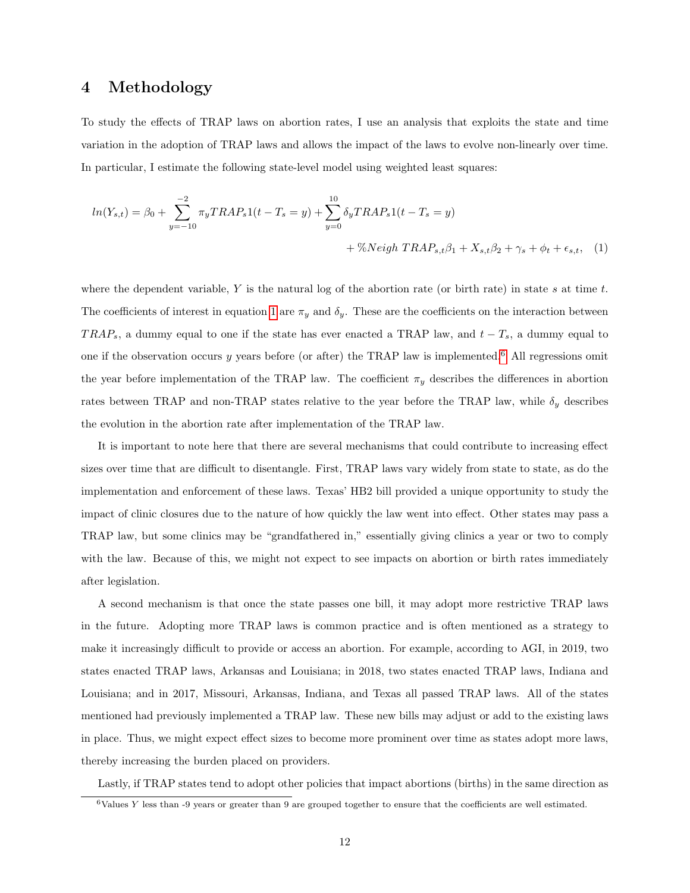## <span id="page-11-0"></span>4 Methodology

To study the effects of TRAP laws on abortion rates, I use an analysis that exploits the state and time variation in the adoption of TRAP laws and allows the impact of the laws to evolve non-linearly over time. In particular, I estimate the following state-level model using weighted least squares:

<span id="page-11-1"></span>
$$
ln(Y_{s,t}) = \beta_0 + \sum_{y=-10}^{-2} \pi_y TRAP_s 1(t - T_s = y) + \sum_{y=0}^{10} \delta_y TRAP_s 1(t - T_s = y) + \%Neigh TRAP_{s,t}\beta_1 + X_{s,t}\beta_2 + \gamma_s + \phi_t + \epsilon_{s,t}, \quad (1)
$$

where the dependent variable, Y is the natural log of the abortion rate (or birth rate) in state s at time t. The coefficients of interest in equation [1](#page-11-1) are  $\pi_y$  and  $\delta_y$ . These are the coefficients on the interaction between TRAP<sub>s</sub>, a dummy equal to one if the state has ever enacted a TRAP law, and  $t - T_s$ , a dummy equal to one if the observation occurs y years before (or after) the TRAP law is implemented.<sup>[6](#page-11-2)</sup> All regressions omit the year before implementation of the TRAP law. The coefficient  $\pi_y$  describes the differences in abortion rates between TRAP and non-TRAP states relative to the year before the TRAP law, while  $\delta_y$  describes the evolution in the abortion rate after implementation of the TRAP law.

It is important to note here that there are several mechanisms that could contribute to increasing effect sizes over time that are difficult to disentangle. First, TRAP laws vary widely from state to state, as do the implementation and enforcement of these laws. Texas' HB2 bill provided a unique opportunity to study the impact of clinic closures due to the nature of how quickly the law went into effect. Other states may pass a TRAP law, but some clinics may be "grandfathered in," essentially giving clinics a year or two to comply with the law. Because of this, we might not expect to see impacts on abortion or birth rates immediately after legislation.

A second mechanism is that once the state passes one bill, it may adopt more restrictive TRAP laws in the future. Adopting more TRAP laws is common practice and is often mentioned as a strategy to make it increasingly difficult to provide or access an abortion. For example, according to AGI, in 2019, two states enacted TRAP laws, Arkansas and Louisiana; in 2018, two states enacted TRAP laws, Indiana and Louisiana; and in 2017, Missouri, Arkansas, Indiana, and Texas all passed TRAP laws. All of the states mentioned had previously implemented a TRAP law. These new bills may adjust or add to the existing laws in place. Thus, we might expect effect sizes to become more prominent over time as states adopt more laws, thereby increasing the burden placed on providers.

Lastly, if TRAP states tend to adopt other policies that impact abortions (births) in the same direction as

<span id="page-11-2"></span> $6$ Values Y less than -9 years or greater than 9 are grouped together to ensure that the coefficients are well estimated.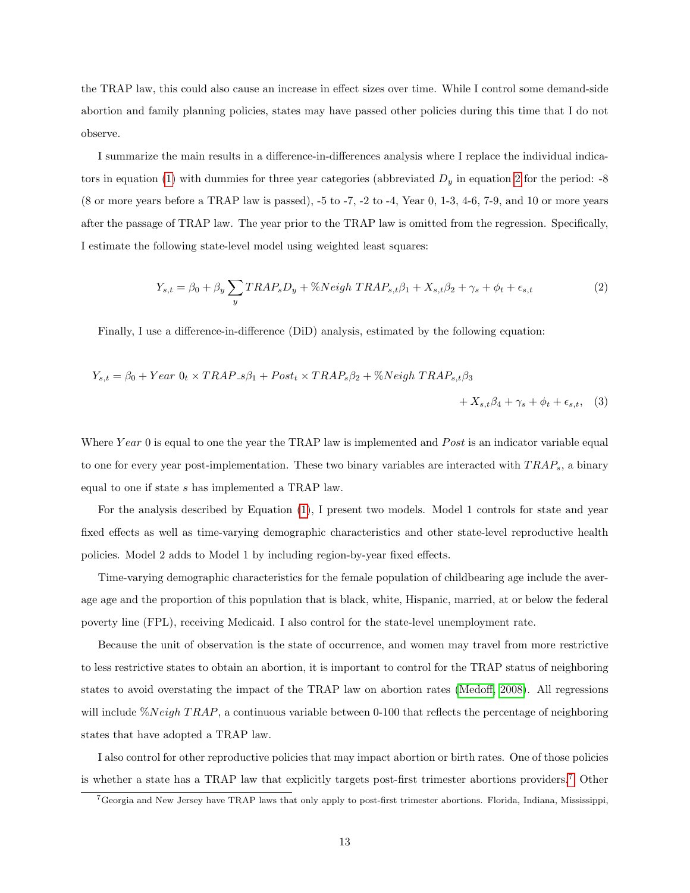the TRAP law, this could also cause an increase in effect sizes over time. While I control some demand-side abortion and family planning policies, states may have passed other policies during this time that I do not observe.

I summarize the main results in a difference-in-differences analysis where I replace the individual indica-tors in equation [\(1\)](#page-11-1) with dummies for three year categories (abbreviated  $D_y$  in equation [2](#page-12-0) for the period: -8 (8 or more years before a TRAP law is passed), -5 to -7, -2 to -4, Year 0, 1-3, 4-6, 7-9, and 10 or more years after the passage of TRAP law. The year prior to the TRAP law is omitted from the regression. Specifically, I estimate the following state-level model using weighted least squares:

<span id="page-12-2"></span><span id="page-12-0"></span>
$$
Y_{s,t} = \beta_0 + \beta_y \sum_y TRAP_s D_y + \%Neigh\ TRAP_{s,t}\beta_1 + X_{s,t}\beta_2 + \gamma_s + \phi_t + \epsilon_{s,t}
$$
\n<sup>(2)</sup>

Finally, I use a difference-in-difference (DiD) analysis, estimated by the following equation:

$$
Y_{s,t} = \beta_0 + Year \ 0_t \times TRAP_s\beta_1 + Post_t \times TRAP_s\beta_2 + \%Neigh\ TRAP_{s,t}\beta_3
$$

$$
+ X_{s,t}\beta_4 + \gamma_s + \phi_t + \epsilon_{s,t}, \quad (3)
$$

Where Year 0 is equal to one the year the TRAP law is implemented and Post is an indicator variable equal to one for every year post-implementation. These two binary variables are interacted with  $TRAP_s$ , a binary equal to one if state s has implemented a TRAP law.

For the analysis described by Equation [\(1\)](#page-11-1), I present two models. Model 1 controls for state and year fixed effects as well as time-varying demographic characteristics and other state-level reproductive health policies. Model 2 adds to Model 1 by including region-by-year fixed effects.

Time-varying demographic characteristics for the female population of childbearing age include the average age and the proportion of this population that is black, white, Hispanic, married, at or below the federal poverty line (FPL), receiving Medicaid. I also control for the state-level unemployment rate.

Because the unit of observation is the state of occurrence, and women may travel from more restrictive to less restrictive states to obtain an abortion, it is important to control for the TRAP status of neighboring states to avoid overstating the impact of the TRAP law on abortion rates [\(Medoff, 2008\)](#page-32-2). All regressions will include  $\%Neigh\ TRAP$ , a continuous variable between 0-100 that reflects the percentage of neighboring states that have adopted a TRAP law.

I also control for other reproductive policies that may impact abortion or birth rates. One of those policies is whether a state has a TRAP law that explicitly targets post-first trimester abortions providers.[7](#page-12-1) Other

<span id="page-12-1"></span><sup>7</sup>Georgia and New Jersey have TRAP laws that only apply to post-first trimester abortions. Florida, Indiana, Mississippi,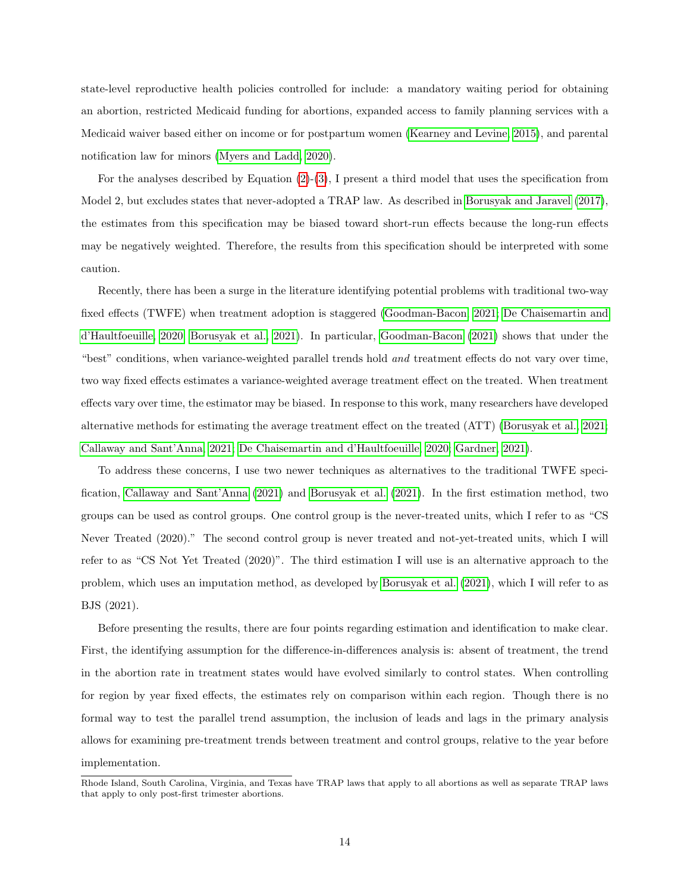state-level reproductive health policies controlled for include: a mandatory waiting period for obtaining an abortion, restricted Medicaid funding for abortions, expanded access to family planning services with a Medicaid waiver based either on income or for postpartum women [\(Kearney and Levine, 2015\)](#page-31-1), and parental notification law for minors [\(Myers and Ladd, 2020\)](#page-32-6).

For the analyses described by Equation [\(2\)](#page-12-0)-[\(3\)](#page-12-2), I present a third model that uses the specification from Model 2, but excludes states that never-adopted a TRAP law. As described in [Borusyak and Jaravel](#page-30-3) [\(2017\)](#page-30-3), the estimates from this specification may be biased toward short-run effects because the long-run effects may be negatively weighted. Therefore, the results from this specification should be interpreted with some caution.

Recently, there has been a surge in the literature identifying potential problems with traditional two-way fixed effects (TWFE) when treatment adoption is staggered [\(Goodman-Bacon, 2021;](#page-30-4) [De Chaisemartin and](#page-30-5) [d'Haultfoeuille, 2020;](#page-30-5) [Borusyak et al., 2021\)](#page-30-6). In particular, [Goodman-Bacon](#page-30-4) [\(2021\)](#page-30-4) shows that under the "best" conditions, when variance-weighted parallel trends hold and treatment effects do not vary over time, two way fixed effects estimates a variance-weighted average treatment effect on the treated. When treatment effects vary over time, the estimator may be biased. In response to this work, many researchers have developed alternative methods for estimating the average treatment effect on the treated (ATT) [\(Borusyak et al., 2021;](#page-30-6) [Callaway and Sant'Anna, 2021;](#page-30-7) [De Chaisemartin and d'Haultfoeuille, 2020;](#page-30-5) [Gardner, 2021\)](#page-30-8).

To address these concerns, I use two newer techniques as alternatives to the traditional TWFE specification, [Callaway and Sant'Anna](#page-30-7) [\(2021\)](#page-30-7) and [Borusyak et al.](#page-30-6) [\(2021\)](#page-30-6). In the first estimation method, two groups can be used as control groups. One control group is the never-treated units, which I refer to as "CS Never Treated (2020)." The second control group is never treated and not-yet-treated units, which I will refer to as "CS Not Yet Treated (2020)". The third estimation I will use is an alternative approach to the problem, which uses an imputation method, as developed by [Borusyak et al.](#page-30-6) [\(2021\)](#page-30-6), which I will refer to as BJS (2021).

Before presenting the results, there are four points regarding estimation and identification to make clear. First, the identifying assumption for the difference-in-differences analysis is: absent of treatment, the trend in the abortion rate in treatment states would have evolved similarly to control states. When controlling for region by year fixed effects, the estimates rely on comparison within each region. Though there is no formal way to test the parallel trend assumption, the inclusion of leads and lags in the primary analysis allows for examining pre-treatment trends between treatment and control groups, relative to the year before implementation.

Rhode Island, South Carolina, Virginia, and Texas have TRAP laws that apply to all abortions as well as separate TRAP laws that apply to only post-first trimester abortions.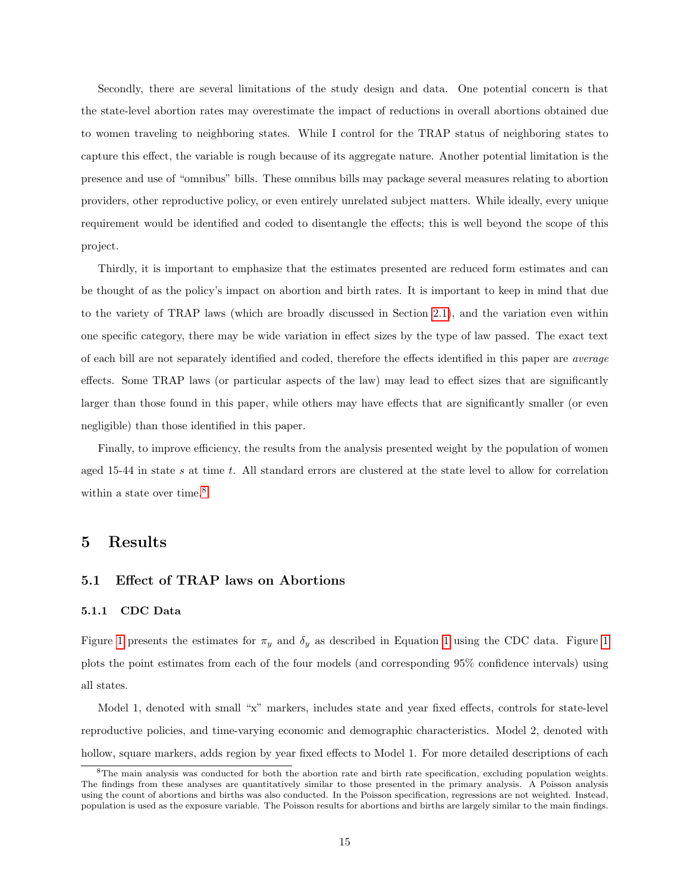Secondly, there are several limitations of the study design and data. One potential concern is that the state-level abortion rates may overestimate the impact of reductions in overall abortions obtained due to women traveling to neighboring states. While I control for the TRAP status of neighboring states to capture this effect, the variable is rough because of its aggregate nature. Another potential limitation is the presence and use of "omnibus" bills. These omnibus bills may package several measures relating to abortion providers, other reproductive policy, or even entirely unrelated subject matters. While ideally, every unique requirement would be identified and coded to disentangle the effects; this is well beyond the scope of this project.

Thirdly, it is important to emphasize that the estimates presented are reduced form estimates and can be thought of as the policy's impact on abortion and birth rates. It is important to keep in mind that due to the variety of TRAP laws (which are broadly discussed in Section [2.1\)](#page-3-0), and the variation even within one specific category, there may be wide variation in effect sizes by the type of law passed. The exact text of each bill are not separately identified and coded, therefore the effects identified in this paper are average effects. Some TRAP laws (or particular aspects of the law) may lead to effect sizes that are significantly larger than those found in this paper, while others may have effects that are significantly smaller (or even negligible) than those identified in this paper.

Finally, to improve efficiency, the results from the analysis presented weight by the population of women aged 15-44 in state s at time t. All standard errors are clustered at the state level to allow for correlation within a state over time.<sup>[8](#page-14-1)</sup>

## <span id="page-14-0"></span>5 Results

#### <span id="page-14-3"></span>5.1 Effect of TRAP laws on Abortions

#### <span id="page-14-2"></span>5.1.1 CDC Data

Figure [1](#page-15-0) presents the estimates for  $\pi_y$  and  $\delta_y$  as described in Equation 1 using the CDC data. Figure 1 plots the point estimates from each of the four models (and corresponding 95% confidence intervals) using all states.

Model 1, denoted with small "x" markers, includes state and year fixed effects, controls for state-level reproductive policies, and time-varying economic and demographic characteristics. Model 2, denoted with hollow, square markers, adds region by year fixed effects to Model 1. For more detailed descriptions of each

<span id="page-14-1"></span> ${}^8$ The main analysis was conducted for both the abortion rate and birth rate specification, excluding population weights. The findings from these analyses are quantitatively similar to those presented in the primary analysis. A Poisson analysis using the count of abortions and births was also conducted. In the Poisson specification, regressions are not weighted. Instead, population is used as the exposure variable. The Poisson results for abortions and births are largely similar to the main findings.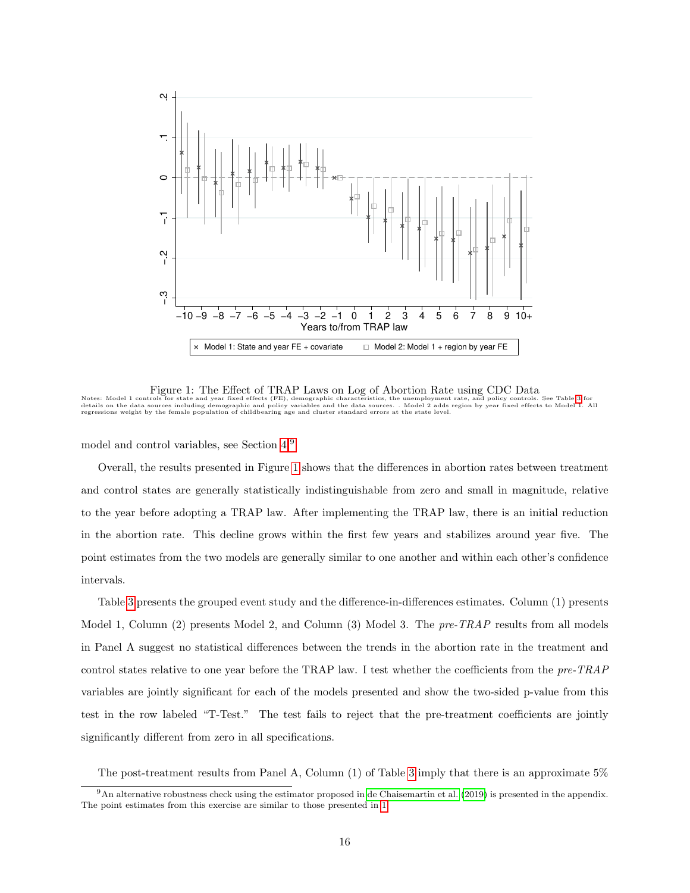

<span id="page-15-0"></span>Figure 1: The Effect of TRAP Laws on Log of Abortion Rate using CDC Data<br>Notes: Model 1 controls for state and year fixed effects (FE), demographic characteristics, the unemployment rate, and policy controls. See Table [3](#page-16-0) f

model and control variables, see Section [4.](#page-11-0)[9](#page-15-1)

Overall, the results presented in Figure [1](#page-15-0) shows that the differences in abortion rates between treatment and control states are generally statistically indistinguishable from zero and small in magnitude, relative to the year before adopting a TRAP law. After implementing the TRAP law, there is an initial reduction in the abortion rate. This decline grows within the first few years and stabilizes around year five. The point estimates from the two models are generally similar to one another and within each other's confidence intervals.

Table [3](#page-16-0) presents the grouped event study and the difference-in-differences estimates. Column (1) presents Model 1, Column (2) presents Model 2, and Column (3) Model 3. The pre-TRAP results from all models in Panel A suggest no statistical differences between the trends in the abortion rate in the treatment and control states relative to one year before the TRAP law. I test whether the coefficients from the pre-TRAP variables are jointly significant for each of the models presented and show the two-sided p-value from this test in the row labeled "T-Test." The test fails to reject that the pre-treatment coefficients are jointly significantly different from zero in all specifications.

<span id="page-15-1"></span>The post-treatment results from Panel A, Column (1) of Table [3](#page-16-0) imply that there is an approximate 5%

 $9 \text{An alternative robustness check using the estimator proposed in de Chaisemartin et al. (2019) is presented in the appendix.}$  $9 \text{An alternative robustness check using the estimator proposed in de Chaisemartin et al. (2019) is presented in the appendix.}$  $9 \text{An alternative robustness check using the estimator proposed in de Chaisemartin et al. (2019) is presented in the appendix.}$  $9 \text{An alternative robustness check using the estimator proposed in de Chaisemartin et al. (2019) is presented in the appendix.}$  $9 \text{An alternative robustness check using the estimator proposed in de Chaisemartin et al. (2019) is presented in the appendix.}$ The point estimates from this exercise are similar to those presented in [1](#page-15-0)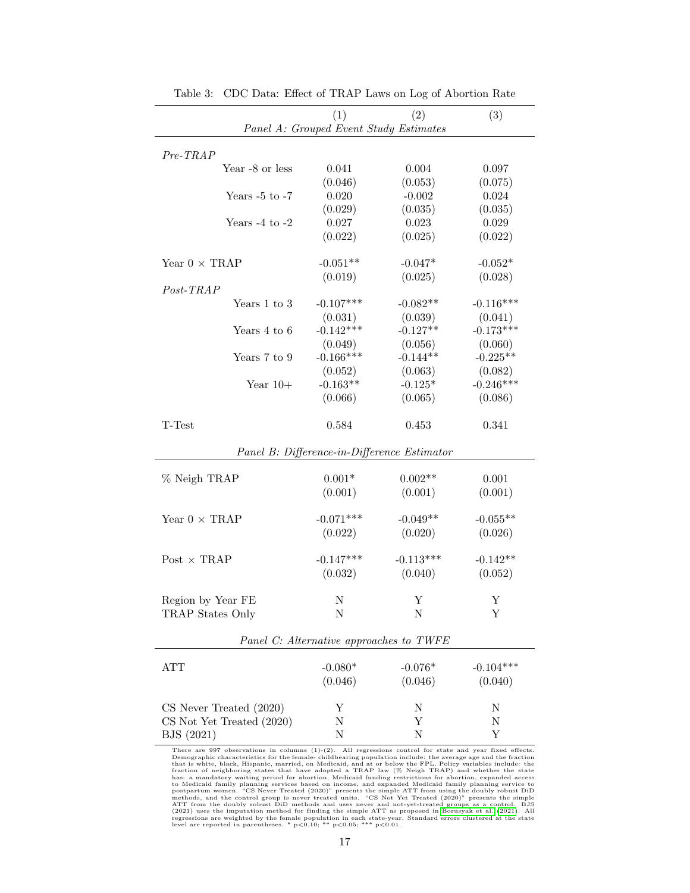|                               | (1)                                     | (2)                                         | (3)              |
|-------------------------------|-----------------------------------------|---------------------------------------------|------------------|
|                               | Panel A: Grouped Event Study Estimates  |                                             |                  |
|                               |                                         |                                             |                  |
| $Pre-TRAP$<br>Year -8 or less | 0.041                                   | 0.004                                       | 0.097            |
|                               | (0.046)                                 | (0.053)                                     | (0.075)          |
| Years $-5$ to $-7$            | 0.020                                   | $-0.002$                                    | 0.024            |
|                               | (0.029)                                 | (0.035)                                     | (0.035)          |
| Years $-4$ to $-2$            | 0.027                                   | 0.023                                       | 0.029            |
|                               | (0.022)                                 | (0.025)                                     | (0.022)          |
|                               |                                         |                                             |                  |
| Year $0 \times TRAP$          | $-0.051**$                              | $-0.047*$                                   | $-0.052*$        |
| Post-TRAP                     | (0.019)                                 | (0.025)                                     | (0.028)          |
| Years 1 to 3                  | $-0.107***$                             | $-0.082**$                                  | $-0.116***$      |
|                               | (0.031)                                 | (0.039)                                     | (0.041)          |
| Years 4 to 6                  | $-0.142***$                             | $-0.127**$                                  | $-0.173***$      |
|                               | (0.049)                                 | (0.056)                                     | (0.060)          |
| Years 7 to 9                  | $-0.166***$                             | $-0.144**$                                  | $-0.225**$       |
|                               | (0.052)                                 | (0.063)                                     | (0.082)          |
| Year $10+$                    | $-0.163**$                              | $-0.125*$                                   | $-0.246***$      |
|                               | (0.066)                                 | (0.065)                                     | (0.086)          |
| T-Test                        | 0.584                                   | 0.453                                       | 0.341            |
|                               |                                         | Panel B: Difference-in-Difference Estimator |                  |
|                               | $0.001*$                                | $0.002**$                                   |                  |
| % Neigh TRAP                  | (0.001)                                 | (0.001)                                     | 0.001<br>(0.001) |
|                               |                                         |                                             |                  |
| Year $0 \times TRAP$          | $-0.071***$                             | $-0.049**$                                  | $-0.055**$       |
|                               | (0.022)                                 | (0.020)                                     | (0.026)          |
| Post $\times$ TRAP            | $-0.147***$                             | $-0.113***$                                 | $-0.142**$       |
|                               | (0.032)                                 | (0.040)                                     | (0.052)          |
|                               |                                         |                                             |                  |
| Region by Year FE             | N                                       | Υ                                           | Y                |
| TRAP States Only              | Ν                                       | N                                           | Υ                |
|                               | Panel C: Alternative approaches to TWFE |                                             |                  |
|                               |                                         |                                             |                  |
| <b>ATT</b>                    | $-0.080*$                               | $-0.076*$                                   | $-0.104***$      |
|                               | (0.046)                                 | (0.046)                                     | (0.040)          |
| CS Never Treated (2020)       | Υ                                       | N                                           | Ν                |
| CS Not Yet Treated (2020)     | $\mathbf N$                             | Υ                                           | Ν                |
| BJS (2021)                    | $_{\rm N}$                              | Ν                                           | Υ                |
|                               |                                         |                                             |                  |

<span id="page-16-0"></span>Table 3: CDC Data: Effect of TRAP Laws on Log of Abortion Rate

There are 997 observations in columns (1)-(2). All regressions control for state and year fixed effects.<br>Then grapplic characteristics for the female-childbearing population include: the average age and the fraction<br>that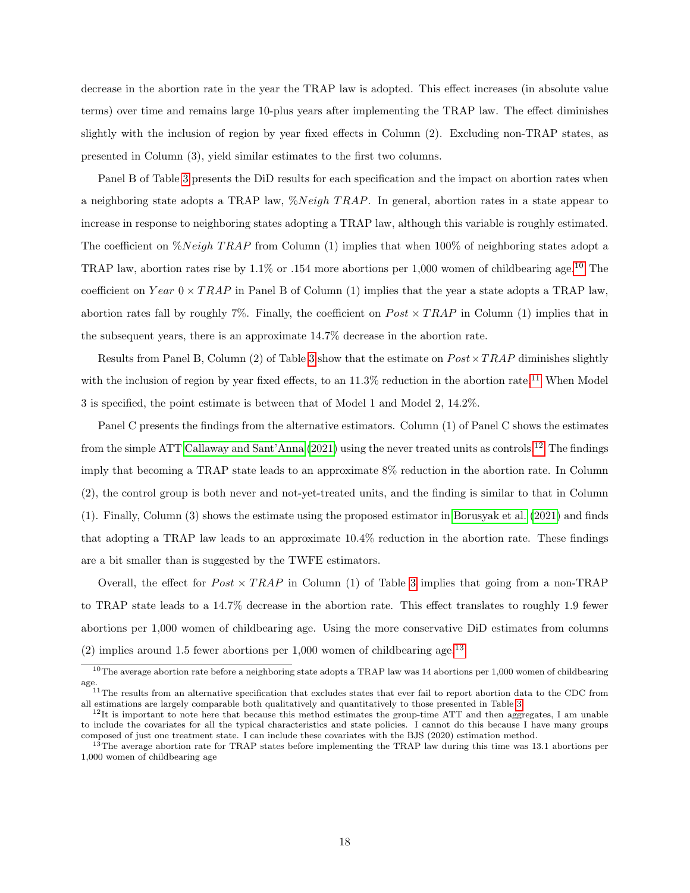decrease in the abortion rate in the year the TRAP law is adopted. This effect increases (in absolute value terms) over time and remains large 10-plus years after implementing the TRAP law. The effect diminishes slightly with the inclusion of region by year fixed effects in Column (2). Excluding non-TRAP states, as presented in Column (3), yield similar estimates to the first two columns.

Panel B of Table [3](#page-16-0) presents the DiD results for each specification and the impact on abortion rates when a neighboring state adopts a TRAP law,  $\mathcal{N} \text{Neigh}$  TRAP. In general, abortion rates in a state appear to increase in response to neighboring states adopting a TRAP law, although this variable is roughly estimated. The coefficient on  $\mathcal{N} \text{leigh} TRAP$  from Column (1) implies that when 100% of neighboring states adopt a TRAP law, abortion rates rise by  $1.1\%$  or  $.154$  more abortions per 1,000 women of childbearing age.<sup>[10](#page-17-0)</sup> The coefficient on  $Year\ 0 \times TRAP$  in Panel B of Column (1) implies that the year a state adopts a TRAP law, abortion rates fall by roughly 7%. Finally, the coefficient on  $Post \times TRAP$  in Column (1) implies that in the subsequent years, there is an approximate 14.7% decrease in the abortion rate.

Results from Panel B, Column (2) of Table [3](#page-16-0) show that the estimate on  $Post \times TRAP$  diminishes slightly with the inclusion of region by year fixed effects, to an  $11.3\%$  $11.3\%$  reduction in the abortion rate.<sup>11</sup> When Model 3 is specified, the point estimate is between that of Model 1 and Model 2, 14.2%.

Panel C presents the findings from the alternative estimators. Column (1) of Panel C shows the estimates from the simple ATT [Callaway and Sant'Anna](#page-30-7) [\(2021\)](#page-30-7) using the never treated units as controls.[12](#page-17-2) The findings imply that becoming a TRAP state leads to an approximate 8% reduction in the abortion rate. In Column (2), the control group is both never and not-yet-treated units, and the finding is similar to that in Column (1). Finally, Column (3) shows the estimate using the proposed estimator in [Borusyak et al.](#page-30-6) [\(2021\)](#page-30-6) and finds that adopting a TRAP law leads to an approximate 10.4% reduction in the abortion rate. These findings are a bit smaller than is suggested by the TWFE estimators.

Overall, the effect for  $Post \times TRAP$  in Column (1) of Table [3](#page-16-0) implies that going from a non-TRAP to TRAP state leads to a 14.7% decrease in the abortion rate. This effect translates to roughly 1.9 fewer abortions per 1,000 women of childbearing age. Using the more conservative DiD estimates from columns  $(2)$  implies around 1.5 fewer abortions per 1,000 women of childbearing age.<sup>[13](#page-17-3)</sup>

<span id="page-17-0"></span> $10$ The average abortion rate before a neighboring state adopts a TRAP law was 14 abortions per 1,000 women of childbearing age.

<span id="page-17-1"></span> $11$ The results from an alternative specification that excludes states that ever fail to report abortion data to the CDC from all estimations are largely comparable both qualitatively and quantitatively to those presented in Table [3.](#page-16-0)

<span id="page-17-2"></span> $12$ It is important to note here that because this method estimates the group-time ATT and then aggregates, I am unable to include the covariates for all the typical characteristics and state policies. I cannot do this because I have many groups composed of just one treatment state. I can include these covariates with the BJS (2020) estimation method.

<span id="page-17-3"></span><sup>&</sup>lt;sup>13</sup>The average abortion rate for TRAP states before implementing the TRAP law during this time was 13.1 abortions per 1,000 women of childbearing age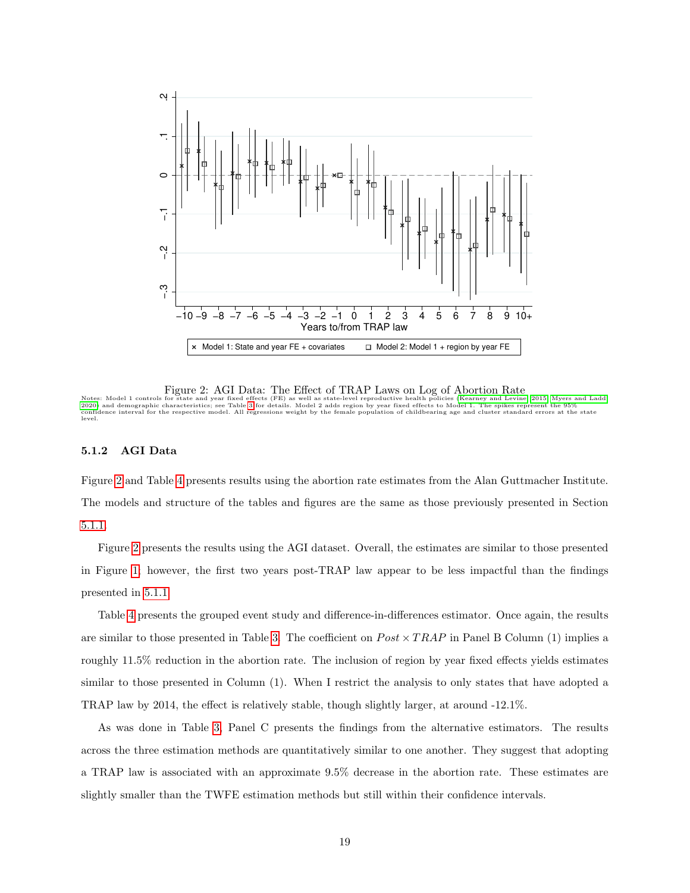

<span id="page-18-0"></span>Figure 2: AGI Data: The Effect of TRAP Laws on Log of Abortion Rate

Notes: Model 1 controls for state and year fixed effects (FE) as well as state-level reproductive health policies [\(Kearney and Levine, 2015;](#page-31-1) [Myers and Ladd,](#page-32-6)<br>[2020\)](#page-32-6) and demographic characteristics; see Table [3](#page-16-0) for details. M

#### <span id="page-18-1"></span>5.1.2 AGI Data

Figure [2](#page-18-0) and Table [4](#page-19-0) presents results using the abortion rate estimates from the Alan Guttmacher Institute. The models and structure of the tables and figures are the same as those previously presented in Section [5.1.1.](#page-14-2)

Figure [2](#page-18-0) presents the results using the AGI dataset. Overall, the estimates are similar to those presented in Figure [1;](#page-15-0) however, the first two years post-TRAP law appear to be less impactful than the findings presented in [5.1.1.](#page-14-2)

Table [4](#page-19-0) presents the grouped event study and difference-in-differences estimator. Once again, the results are similar to those presented in Table [3.](#page-16-0) The coefficient on  $Post \times TRAP$  in Panel B Column (1) implies a roughly 11.5% reduction in the abortion rate. The inclusion of region by year fixed effects yields estimates similar to those presented in Column (1). When I restrict the analysis to only states that have adopted a TRAP law by 2014, the effect is relatively stable, though slightly larger, at around -12.1%.

As was done in Table [3,](#page-16-0) Panel C presents the findings from the alternative estimators. The results across the three estimation methods are quantitatively similar to one another. They suggest that adopting a TRAP law is associated with an approximate 9.5% decrease in the abortion rate. These estimates are slightly smaller than the TWFE estimation methods but still within their confidence intervals.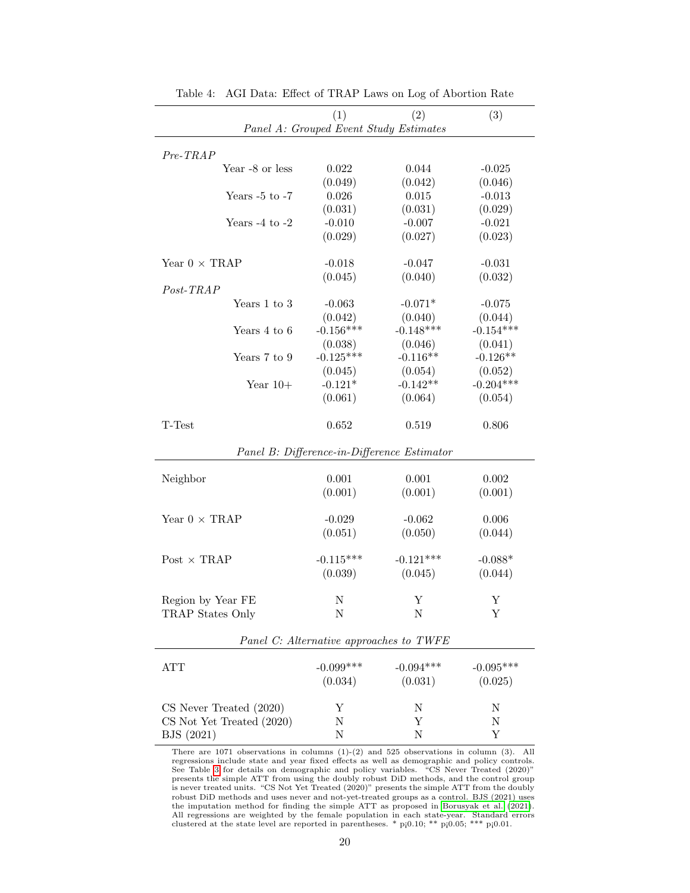|                           |                                               | (2)                                         | (3)         |
|---------------------------|-----------------------------------------------|---------------------------------------------|-------------|
|                           | (1)<br>Panel A: Grouped Event Study Estimates |                                             |             |
|                           |                                               |                                             |             |
| $Pre-TRAP$                |                                               |                                             |             |
| Year -8 or less           | 0.022                                         | 0.044                                       | $-0.025$    |
|                           | (0.049)                                       | (0.042)                                     | (0.046)     |
| Years $-5$ to $-7$        | 0.026                                         | 0.015                                       | $-0.013$    |
|                           | (0.031)                                       | (0.031)                                     | (0.029)     |
| Years $-4$ to $-2$        | $-0.010$                                      | $-0.007$                                    | $-0.021$    |
|                           | (0.029)                                       | (0.027)                                     | (0.023)     |
|                           |                                               |                                             |             |
| Year $0 \times TRAP$      | $-0.018$                                      | $-0.047$                                    | $-0.031$    |
|                           | (0.045)                                       | (0.040)                                     | (0.032)     |
| Post-TRAP                 |                                               |                                             |             |
| Years 1 to 3              | $-0.063$                                      | $-0.071*$                                   | $-0.075$    |
|                           | (0.042)                                       | (0.040)                                     | (0.044)     |
| Years 4 to 6              | $-0.156***$                                   | $-0.148***$                                 | $-0.154***$ |
|                           | (0.038)                                       | (0.046)                                     | (0.041)     |
| Years 7 to 9              | $-0.125***$                                   | $-0.116**$                                  | $-0.126**$  |
|                           | (0.045)                                       | (0.054)                                     | (0.052)     |
| Year $10+$                | $-0.121*$                                     | $-0.142**$                                  | $-0.204***$ |
|                           | (0.061)                                       | (0.064)                                     | (0.054)     |
| T-Test                    | 0.652                                         | 0.519                                       | 0.806       |
|                           |                                               | Panel B: Difference-in-Difference Estimator |             |
|                           |                                               |                                             |             |
| Neighbor                  | 0.001                                         | 0.001                                       | 0.002       |
|                           | (0.001)                                       | (0.001)                                     | (0.001)     |
| Year $0 \times TRAP$      | $-0.029$                                      | $-0.062$                                    | 0.006       |
|                           | (0.051)                                       | (0.050)                                     | (0.044)     |
|                           |                                               |                                             |             |
| Post $\times$ TRAP        | $-0.115***$                                   | $-0.121***$                                 | $-0.088*$   |
|                           | (0.039)                                       | (0.045)                                     | (0.044)     |
|                           |                                               |                                             |             |
| Region by Year FE         | Ν                                             | Y                                           | Y           |
| TRAP States Only          | Ν                                             | Ν                                           | Υ           |
|                           |                                               |                                             |             |
|                           | Panel C: Alternative approaches to TWFE       |                                             |             |
| <b>ATT</b>                | $-0.099***$                                   | $-0.094***$                                 | $-0.095***$ |
|                           | (0.034)                                       | (0.031)                                     | (0.025)     |
|                           |                                               |                                             |             |
| CS Never Treated (2020)   | Υ                                             | N                                           | Ν           |
| CS Not Yet Treated (2020) | Ν                                             | Υ                                           | Ν           |
| BJS (2021)                | Ν                                             | N                                           | Υ           |
|                           |                                               |                                             |             |

<span id="page-19-0"></span>Table 4: AGI Data: Effect of TRAP Laws on Log of Abortion Rate

There are 1071 observations in columns (1)-(2) and 525 observations in column (3). All regressions include state and year fixed effects as well as demographic and policy controls. See Table [3](#page-16-0) for details on demographic and policy variables. "CS Never Treated (2020)" presents the simple ATT from using the doubly robust DiD methods, and the control group is never treated units. "CS Not Yet Treated (2020)" presents the simple ATT from the doubly robust DiD methods and uses never and not-yet-treated groups as a control. BJS (2021) uses the imputation method for finding the simple ATT as proposed in [Borusyak et al.](#page-30-6) [\(2021\)](#page-30-6). All regressions are weighted by the female population in each state-year. Standard errors clustered at the state level are reported in parentheses.  $*$  p[0.10;  $**$  p[0.05;  $***$  p[0.01.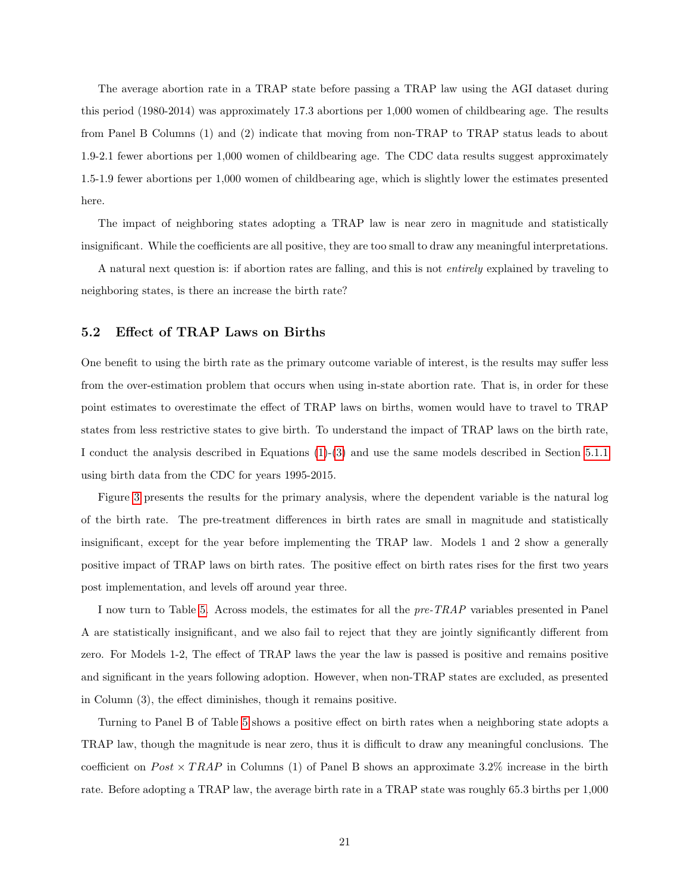The average abortion rate in a TRAP state before passing a TRAP law using the AGI dataset during this period (1980-2014) was approximately 17.3 abortions per 1,000 women of childbearing age. The results from Panel B Columns (1) and (2) indicate that moving from non-TRAP to TRAP status leads to about 1.9-2.1 fewer abortions per 1,000 women of childbearing age. The CDC data results suggest approximately 1.5-1.9 fewer abortions per 1,000 women of childbearing age, which is slightly lower the estimates presented here.

The impact of neighboring states adopting a TRAP law is near zero in magnitude and statistically insignificant. While the coefficients are all positive, they are too small to draw any meaningful interpretations.

A natural next question is: if abortion rates are falling, and this is not entirely explained by traveling to neighboring states, is there an increase the birth rate?

### 5.2 Effect of TRAP Laws on Births

One benefit to using the birth rate as the primary outcome variable of interest, is the results may suffer less from the over-estimation problem that occurs when using in-state abortion rate. That is, in order for these point estimates to overestimate the effect of TRAP laws on births, women would have to travel to TRAP states from less restrictive states to give birth. To understand the impact of TRAP laws on the birth rate, I conduct the analysis described in Equations [\(1\)](#page-11-1)-[\(3\)](#page-12-2) and use the same models described in Section [5.1.1](#page-14-2) using birth data from the CDC for years 1995-2015.

Figure [3](#page-22-0) presents the results for the primary analysis, where the dependent variable is the natural log of the birth rate. The pre-treatment differences in birth rates are small in magnitude and statistically insignificant, except for the year before implementing the TRAP law. Models 1 and 2 show a generally positive impact of TRAP laws on birth rates. The positive effect on birth rates rises for the first two years post implementation, and levels off around year three.

I now turn to Table [5.](#page-21-0) Across models, the estimates for all the pre-TRAP variables presented in Panel A are statistically insignificant, and we also fail to reject that they are jointly significantly different from zero. For Models 1-2, The effect of TRAP laws the year the law is passed is positive and remains positive and significant in the years following adoption. However, when non-TRAP states are excluded, as presented in Column (3), the effect diminishes, though it remains positive.

Turning to Panel B of Table [5](#page-21-0) shows a positive effect on birth rates when a neighboring state adopts a TRAP law, though the magnitude is near zero, thus it is difficult to draw any meaningful conclusions. The coefficient on  $Post \times TRAP$  in Columns (1) of Panel B shows an approximate 3.2% increase in the birth rate. Before adopting a TRAP law, the average birth rate in a TRAP state was roughly 65.3 births per 1,000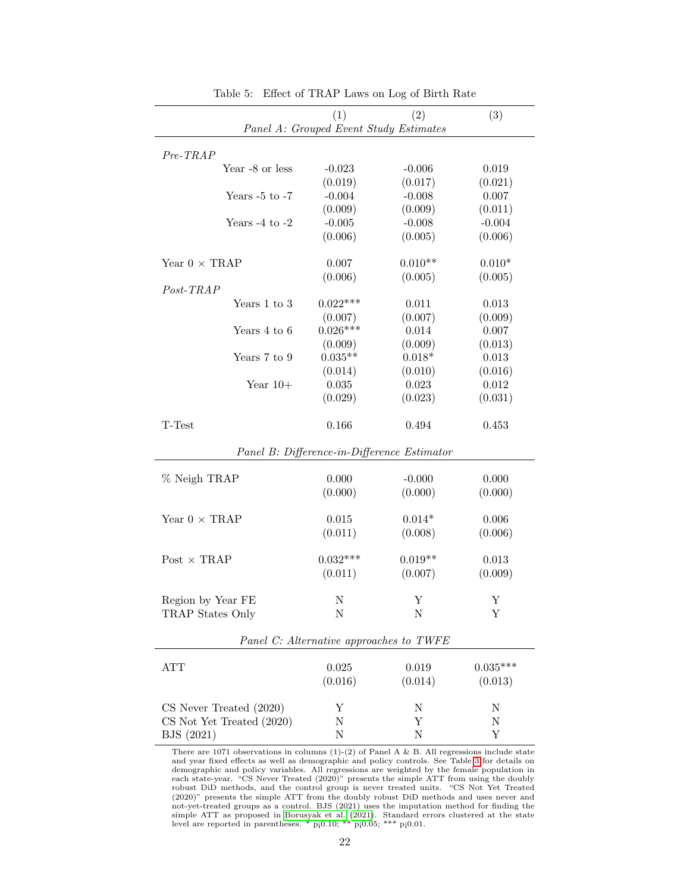|                           | (1)                                     | (2)                                         | (3)        |
|---------------------------|-----------------------------------------|---------------------------------------------|------------|
|                           | Panel A: Grouped Event Study Estimates  |                                             |            |
| $Pre-TRAP$                |                                         |                                             |            |
| Year -8 or less           | $-0.023$                                | $-0.006$                                    | 0.019      |
|                           | (0.019)                                 | (0.017)                                     | (0.021)    |
| Years $-5$ to $-7$        | $-0.004$                                | $-0.008$                                    | 0.007      |
|                           | (0.009)                                 | (0.009)                                     | (0.011)    |
| Years $-4$ to $-2$        | $-0.005$                                | $-0.008$                                    | $-0.004$   |
|                           | (0.006)                                 | (0.005)                                     | (0.006)    |
|                           |                                         |                                             |            |
| Year $0 \times TRAP$      | 0.007                                   | $0.010**$                                   | $0.010*$   |
|                           | (0.006)                                 | (0.005)                                     | (0.005)    |
| $Post-TRAP$               |                                         |                                             |            |
| Years 1 to 3              | $0.022***$                              | 0.011                                       | 0.013      |
|                           | (0.007)                                 | (0.007)                                     | (0.009)    |
| Years 4 to 6              | $0.026***$                              | 0.014                                       | 0.007      |
|                           | (0.009)                                 | (0.009)                                     | (0.013)    |
| Years 7 to 9              | $0.035**$                               | $0.018*$                                    | 0.013      |
|                           | (0.014)                                 | (0.010)                                     | (0.016)    |
| Year $10+$                | 0.035                                   | 0.023                                       | 0.012      |
|                           | (0.029)                                 | (0.023)                                     | (0.031)    |
|                           |                                         |                                             |            |
| T-Test                    | 0.166                                   | 0.494                                       | 0.453      |
|                           |                                         | Panel B: Difference-in-Difference Estimator |            |
|                           |                                         |                                             |            |
| % Neigh TRAP              | 0.000                                   | $-0.000$                                    | 0.000      |
|                           | (0.000)                                 | (0.000)                                     | (0.000)    |
| Year $0 \times TRAP$      | 0.015                                   | $0.014*$                                    | 0.006      |
|                           | (0.011)                                 | (0.008)                                     | (0.006)    |
|                           |                                         |                                             |            |
| Post $\times$ TRAP        | $0.032***$                              | $0.019**$                                   | 0.013      |
|                           | (0.011)                                 | (0.007)                                     | (0.009)    |
|                           |                                         |                                             |            |
| Region by Year FE         | Ν                                       | Y                                           | Y          |
| TRAP States Only          | Ν                                       | Ν                                           | Υ          |
|                           |                                         |                                             |            |
|                           | Panel C: Alternative approaches to TWFE |                                             |            |
| <b>ATT</b>                | 0.025                                   | 0.019                                       | $0.035***$ |
|                           | (0.016)                                 | (0.014)                                     | (0.013)    |
|                           |                                         |                                             |            |
| CS Never Treated (2020)   | Υ                                       | Ν                                           | Ν          |
| CS Not Yet Treated (2020) | Ν                                       | Υ                                           | Ν          |
| BJS (2021)                | Ν                                       | Ν                                           | Υ          |
|                           |                                         |                                             |            |

<span id="page-21-0"></span>Table 5: Effect of TRAP Laws on Log of Birth Rate

There are 1071 observations in columns  $(1)-(2)$  of Panel A & B. All regressions include state and year fixed effects as well as demographic and policy controls. See Table [3](#page-16-0) for details on demographic and policy variables. All regressions are weighted by the female population in each state-year. "CS Never Treated (2020)" presents the simple ATT from using the doubly robust DiD methods, and the control group is never treated units. "CS Not Yet Treated (2020)" presents the simple ATT from the doubly robust DiD methods and uses never and not-yet-treated groups as a control. BJS (2021) uses the imputation method for finding the simple ATT as proposed in [Borusyak et al.](#page-30-6) (2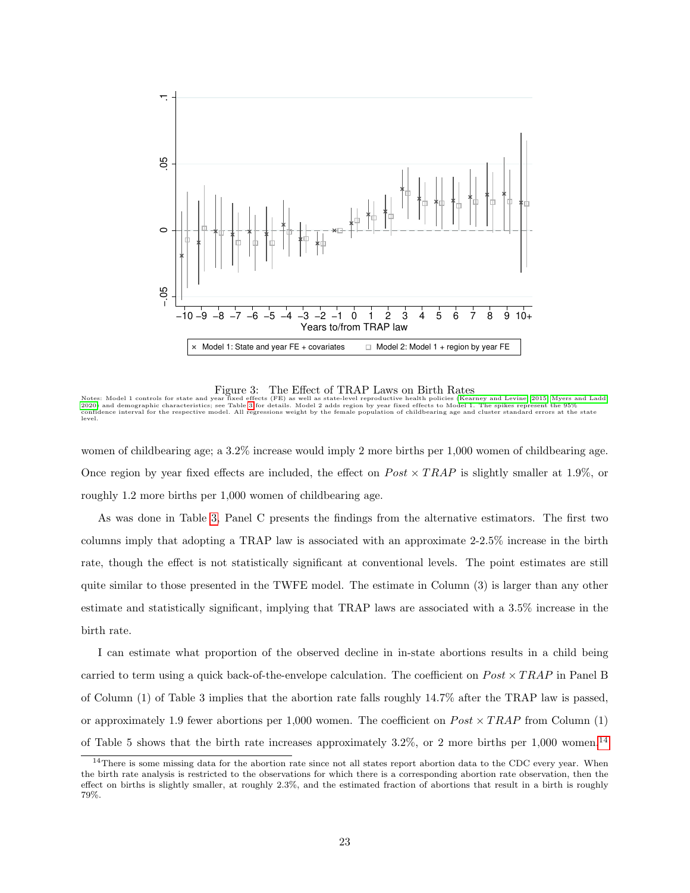

<span id="page-22-0"></span>Figure 3: The Effect of TRAP Laws on Birth Rates

Notes: Model 1 controls for state and year fixed effects (FE) as well as state-level reproductive health policies [\(Kearney and Levine, 2015;](#page-31-1) [Myers and Ladd,](#page-32-6)<br>[2020\)](#page-32-6) and demographic characteristics; see Table [3](#page-16-0) for details. M

women of childbearing age; a 3.2% increase would imply 2 more births per 1,000 women of childbearing age. Once region by year fixed effects are included, the effect on  $Post \times TRAP$  is slightly smaller at 1.9%, or roughly 1.2 more births per 1,000 women of childbearing age.

As was done in Table [3,](#page-16-0) Panel C presents the findings from the alternative estimators. The first two columns imply that adopting a TRAP law is associated with an approximate 2-2.5% increase in the birth rate, though the effect is not statistically significant at conventional levels. The point estimates are still quite similar to those presented in the TWFE model. The estimate in Column (3) is larger than any other estimate and statistically significant, implying that TRAP laws are associated with a 3.5% increase in the birth rate.

I can estimate what proportion of the observed decline in in-state abortions results in a child being carried to term using a quick back-of-the-envelope calculation. The coefficient on  $Post \times TRAP$  in Panel B of Column (1) of Table 3 implies that the abortion rate falls roughly 14.7% after the TRAP law is passed, or approximately 1.9 fewer abortions per 1,000 women. The coefficient on  $Post \times TRAP$  from Column (1) of Table 5 shows that the birth rate increases approximately  $3.2\%$ , or 2 more births per 1,000 women.<sup>[14](#page-22-1)</sup>

<span id="page-22-1"></span><sup>&</sup>lt;sup>14</sup>There is some missing data for the abortion rate since not all states report abortion data to the CDC every year. When the birth rate analysis is restricted to the observations for which there is a corresponding abortion rate observation, then the effect on births is slightly smaller, at roughly 2.3%, and the estimated fraction of abortions that result in a birth is roughly 79%.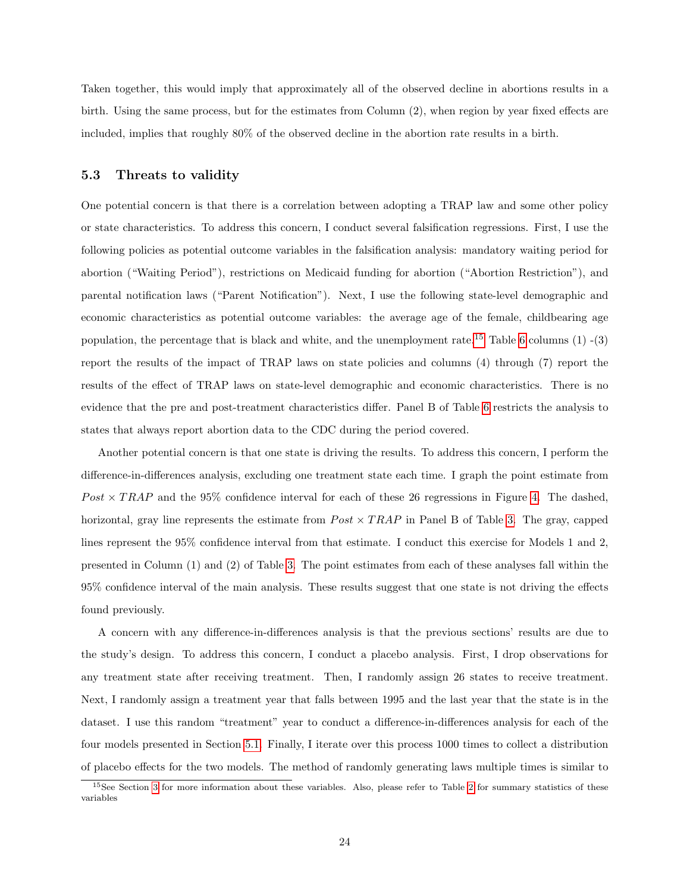Taken together, this would imply that approximately all of the observed decline in abortions results in a birth. Using the same process, but for the estimates from Column (2), when region by year fixed effects are included, implies that roughly 80% of the observed decline in the abortion rate results in a birth.

#### 5.3 Threats to validity

One potential concern is that there is a correlation between adopting a TRAP law and some other policy or state characteristics. To address this concern, I conduct several falsification regressions. First, I use the following policies as potential outcome variables in the falsification analysis: mandatory waiting period for abortion ("Waiting Period"), restrictions on Medicaid funding for abortion ("Abortion Restriction"), and parental notification laws ("Parent Notification"). Next, I use the following state-level demographic and economic characteristics as potential outcome variables: the average age of the female, childbearing age population, the percentage that is black and white, and the unemployment rate.<sup>[15](#page-23-0)</sup> Table [6](#page-24-0) columns  $(1)$  - $(3)$ report the results of the impact of TRAP laws on state policies and columns (4) through (7) report the results of the effect of TRAP laws on state-level demographic and economic characteristics. There is no evidence that the pre and post-treatment characteristics differ. Panel B of Table [6](#page-24-0) restricts the analysis to states that always report abortion data to the CDC during the period covered.

Another potential concern is that one state is driving the results. To address this concern, I perform the difference-in-differences analysis, excluding one treatment state each time. I graph the point estimate from  $Post \times TRAP$  and the 95% confidence interval for each of these 26 regressions in Figure [4.](#page-25-0) The dashed, horizontal, gray line represents the estimate from  $Post \times TRAP$  in Panel B of Table [3.](#page-16-0) The gray, capped lines represent the 95% confidence interval from that estimate. I conduct this exercise for Models 1 and 2, presented in Column (1) and (2) of Table [3.](#page-16-0) The point estimates from each of these analyses fall within the 95% confidence interval of the main analysis. These results suggest that one state is not driving the effects found previously.

A concern with any difference-in-differences analysis is that the previous sections' results are due to the study's design. To address this concern, I conduct a placebo analysis. First, I drop observations for any treatment state after receiving treatment. Then, I randomly assign 26 states to receive treatment. Next, I randomly assign a treatment year that falls between 1995 and the last year that the state is in the dataset. I use this random "treatment" year to conduct a difference-in-differences analysis for each of the four models presented in Section [5.1.](#page-14-3) Finally, I iterate over this process 1000 times to collect a distribution of placebo effects for the two models. The method of randomly generating laws multiple times is similar to

<span id="page-23-0"></span> $15$ See Section [3](#page-7-0) for more information about these variables. Also, please refer to Table [2](#page-10-0) for summary statistics of these variables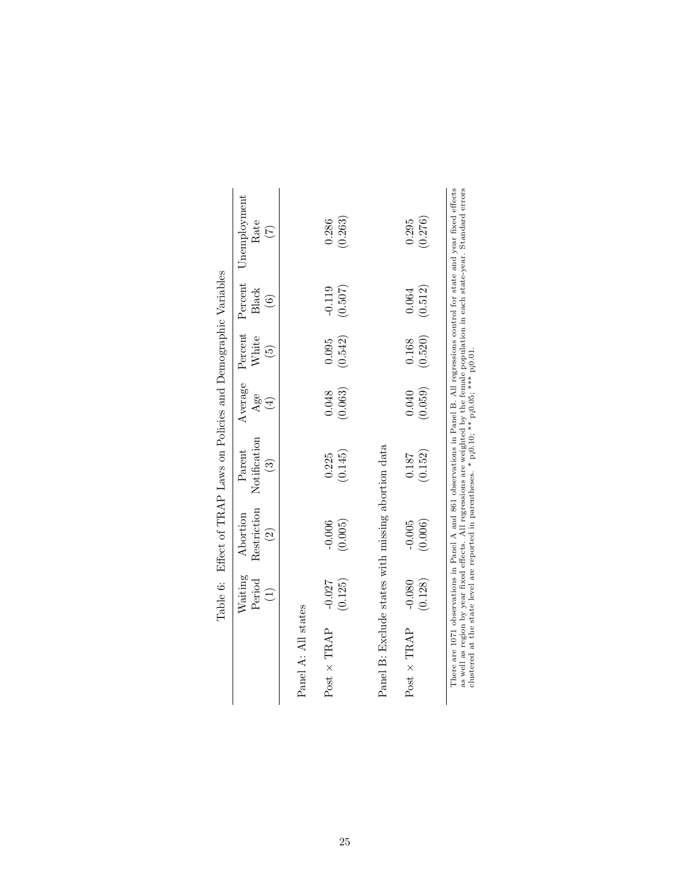<span id="page-24-0"></span>

|                                                    |          |                    | Table 6: Effect of TRAP Laws on Policies and Demographic Variables                                                              |                 |                          |                        |                                                                                                                                                                                                                                                                        |
|----------------------------------------------------|----------|--------------------|---------------------------------------------------------------------------------------------------------------------------------|-----------------|--------------------------|------------------------|------------------------------------------------------------------------------------------------------------------------------------------------------------------------------------------------------------------------------------------------------------------------|
|                                                    | Waiting  | Abortion           | Parent                                                                                                                          |                 | Average Percent Percent  |                        | Unemployment                                                                                                                                                                                                                                                           |
|                                                    | Period   | Restriction        | Notification                                                                                                                    | Age             | White                    | Black                  | Rate                                                                                                                                                                                                                                                                   |
|                                                    |          | $\widehat{\Omega}$ | $\widehat{\mathbb{C}}$                                                                                                          | $\widehat{\Xi}$ | $\widetilde{\mathbf{e}}$ | $\widehat{\mathbf{G}}$ | E                                                                                                                                                                                                                                                                      |
|                                                    |          |                    |                                                                                                                                 |                 |                          |                        |                                                                                                                                                                                                                                                                        |
| Panel A: All states                                |          |                    |                                                                                                                                 |                 |                          |                        |                                                                                                                                                                                                                                                                        |
| Post $\times$ TRAP                                 | $-0.027$ | $-0.006$           | 0.225                                                                                                                           | 0.048           | 0.095                    | $-0.119$               | 0.286                                                                                                                                                                                                                                                                  |
|                                                    | (0.125)  | (0.005)            | (0.145)                                                                                                                         | (0.063)         | (0.542)                  | (0.507)                | (0.263)                                                                                                                                                                                                                                                                |
|                                                    |          |                    |                                                                                                                                 |                 |                          |                        |                                                                                                                                                                                                                                                                        |
| Panel B: Exclude states with missing abortion data |          |                    |                                                                                                                                 |                 |                          |                        |                                                                                                                                                                                                                                                                        |
| $Post \times TRAP$                                 | $-0.080$ | $-0.005$           | 0.187                                                                                                                           | 0.040           | 0.168                    | 0.064                  | 0.295                                                                                                                                                                                                                                                                  |
|                                                    | (0.128)  | (0.006)            | (0.152)                                                                                                                         | (0.059)         | (0.520)                  | (0.512)                | (0.276)                                                                                                                                                                                                                                                                |
|                                                    |          |                    |                                                                                                                                 |                 |                          |                        |                                                                                                                                                                                                                                                                        |
|                                                    |          |                    |                                                                                                                                 |                 |                          |                        | There are 1071 observations in Panel A and 861 observations in Panel B. All regressions control for state and year fixed effects<br>as well as region by year fixed effects. All regressions are weighted by the female population in each state-year. Standard errors |
|                                                    |          |                    | clustered at the state level are reported in parentheses. * p <sub>1</sub> 0,10; ** p <sub>1</sub> 0.05; ** p <sub>1</sub> 0.01 |                 |                          |                        |                                                                                                                                                                                                                                                                        |

| l<br>l<br>l<br>l                        |
|-----------------------------------------|
| and on Policiac and Domocmers<br>l<br>ļ |
| $\frac{1}{2}$                           |
| $-22222$<br>;<br>                       |
| $\frac{1}{2}$<br>ł                      |
| $-22.1$<br>ĺ<br>ł                       |
| )<br>I<br>I<br>I<br>خ<br>م              |
| i<br>5<br>$\vdots$<br>Ş<br>.<br>E       |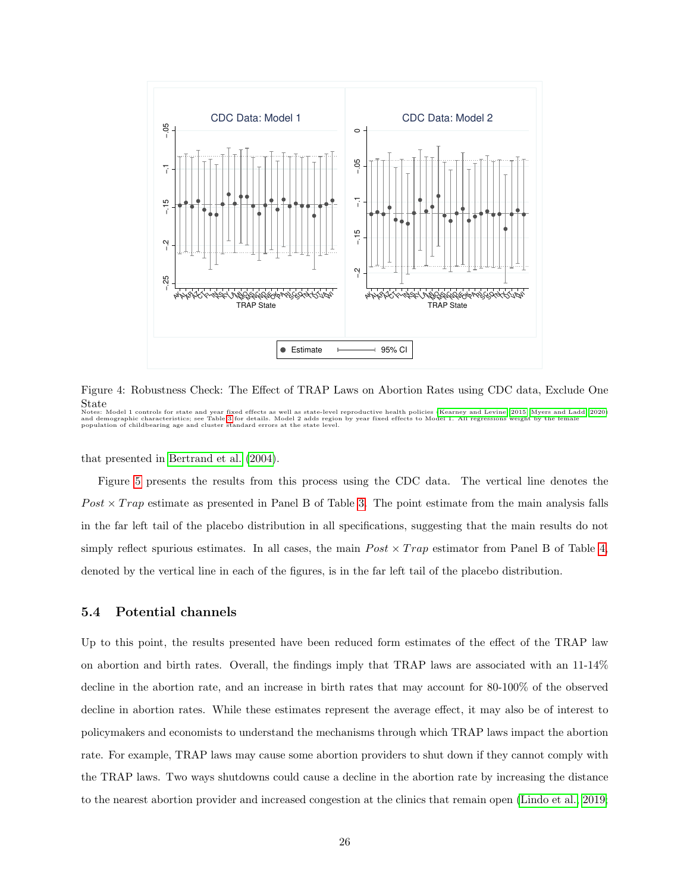

<span id="page-25-0"></span>Figure 4: Robustness Check: The Effect of TRAP Laws on Abortion Rates using CDC data, Exclude One State

Notes: Model 1 controls for state and year fixed effects as well as state-level reproductive health policies [\(Kearney and Levine, 2015;](#page-31-1) [Myers and Ladd, 2020\)](#page-32-6)<br>and demographic characteristics; see Table [3](#page-16-0) for details. Model

that presented in [Bertrand et al.](#page-30-10) [\(2004\)](#page-30-10).

Figure [5](#page-26-0) presents the results from this process using the CDC data. The vertical line denotes the  $Post \times Trap$  estimate as presented in Panel B of Table [3.](#page-16-0) The point estimate from the main analysis falls in the far left tail of the placebo distribution in all specifications, suggesting that the main results do not simply reflect spurious estimates. In all cases, the main  $Post \times Trap$  estimator from Panel B of Table [4,](#page-19-0) denoted by the vertical line in each of the figures, is in the far left tail of the placebo distribution.

#### 5.4 Potential channels

Up to this point, the results presented have been reduced form estimates of the effect of the TRAP law on abortion and birth rates. Overall, the findings imply that TRAP laws are associated with an 11-14% decline in the abortion rate, and an increase in birth rates that may account for 80-100% of the observed decline in abortion rates. While these estimates represent the average effect, it may also be of interest to policymakers and economists to understand the mechanisms through which TRAP laws impact the abortion rate. For example, TRAP laws may cause some abortion providers to shut down if they cannot comply with the TRAP laws. Two ways shutdowns could cause a decline in the abortion rate by increasing the distance to the nearest abortion provider and increased congestion at the clinics that remain open [\(Lindo et al., 2019;](#page-32-0)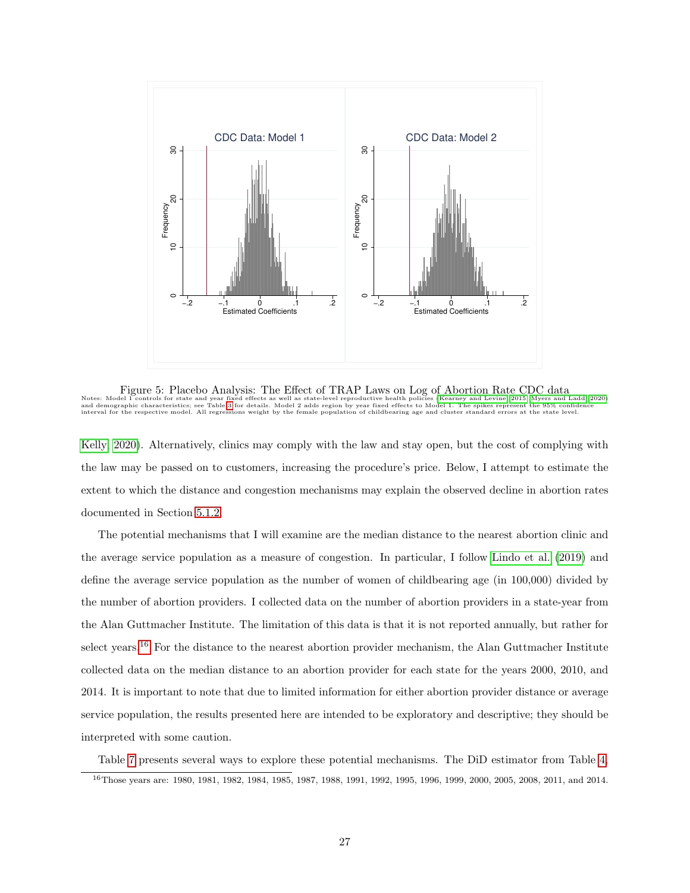

<span id="page-26-0"></span>Figure 5: Placebo Analysis: The Effect of TRAP Laws on Log of Abortion Rate CDC data<br>Notes: Model 1 controls for state and year fixed effects as well as state-level reproductive health policies [\(Kearney and Levine, 2015;](#page-31-1) M

[Kelly, 2020\)](#page-31-3). Alternatively, clinics may comply with the law and stay open, but the cost of complying with the law may be passed on to customers, increasing the procedure's price. Below, I attempt to estimate the extent to which the distance and congestion mechanisms may explain the observed decline in abortion rates documented in Section [5.1.2.](#page-18-1)

The potential mechanisms that I will examine are the median distance to the nearest abortion clinic and the average service population as a measure of congestion. In particular, I follow [Lindo et al.](#page-32-0) [\(2019\)](#page-32-0) and define the average service population as the number of women of childbearing age (in 100,000) divided by the number of abortion providers. I collected data on the number of abortion providers in a state-year from the Alan Guttmacher Institute. The limitation of this data is that it is not reported annually, but rather for select years.<sup>[16](#page-26-1)</sup> For the distance to the nearest abortion provider mechanism, the Alan Guttmacher Institute collected data on the median distance to an abortion provider for each state for the years 2000, 2010, and 2014. It is important to note that due to limited information for either abortion provider distance or average service population, the results presented here are intended to be exploratory and descriptive; they should be interpreted with some caution.

<span id="page-26-1"></span>Table [7](#page-28-0) presents several ways to explore these potential mechanisms. The DiD estimator from Table [4,](#page-19-0) <sup>16</sup>Those years are: 1980, 1981, 1982, 1984, 1985, 1987, 1988, 1991, 1992, 1995, 1996, 1999, 2000, 2005, 2008, 2011, and 2014.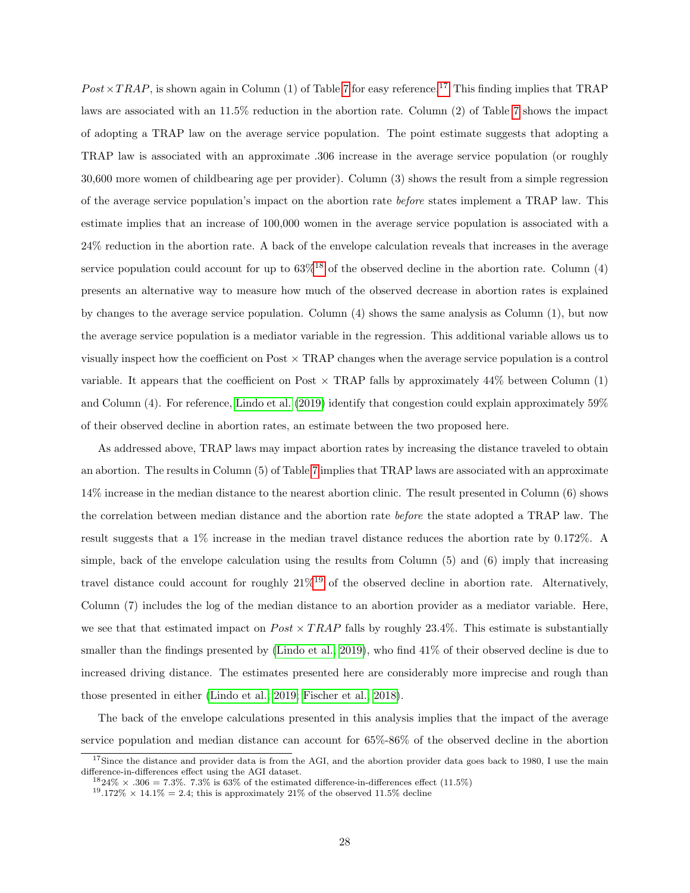$Post \times TRAP$ , is shown again in Column (1) of Table [7](#page-28-0) for easy reference.<sup>[17](#page-27-0)</sup> This finding implies that TRAP laws are associated with an 11.5% reduction in the abortion rate. Column (2) of Table [7](#page-28-0) shows the impact of adopting a TRAP law on the average service population. The point estimate suggests that adopting a TRAP law is associated with an approximate .306 increase in the average service population (or roughly 30,600 more women of childbearing age per provider). Column (3) shows the result from a simple regression of the average service population's impact on the abortion rate before states implement a TRAP law. This estimate implies that an increase of 100,000 women in the average service population is associated with a 24% reduction in the abortion rate. A back of the envelope calculation reveals that increases in the average service population could account for up to  $63\%$ <sup>[18](#page-27-1)</sup> of the observed decline in the abortion rate. Column (4) presents an alternative way to measure how much of the observed decrease in abortion rates is explained by changes to the average service population. Column (4) shows the same analysis as Column (1), but now the average service population is a mediator variable in the regression. This additional variable allows us to visually inspect how the coefficient on Post  $\times$  TRAP changes when the average service population is a control variable. It appears that the coefficient on Post  $\times$  TRAP falls by approximately 44% between Column (1) and Column (4). For reference, [Lindo et al.](#page-32-0) [\(2019\)](#page-32-0) identify that congestion could explain approximately 59% of their observed decline in abortion rates, an estimate between the two proposed here.

As addressed above, TRAP laws may impact abortion rates by increasing the distance traveled to obtain an abortion. The results in Column (5) of Table [7](#page-28-0) implies that TRAP laws are associated with an approximate 14% increase in the median distance to the nearest abortion clinic. The result presented in Column (6) shows the correlation between median distance and the abortion rate before the state adopted a TRAP law. The result suggests that a 1% increase in the median travel distance reduces the abortion rate by 0.172%. A simple, back of the envelope calculation using the results from Column (5) and (6) imply that increasing travel distance could account for roughly  $21\%^{19}$  $21\%^{19}$  $21\%^{19}$  of the observed decline in abortion rate. Alternatively, Column (7) includes the log of the median distance to an abortion provider as a mediator variable. Here, we see that that estimated impact on  $Post \times TRAP$  falls by roughly 23.4%. This estimate is substantially smaller than the findings presented by [\(Lindo et al., 2019\)](#page-32-0), who find 41% of their observed decline is due to increased driving distance. The estimates presented here are considerably more imprecise and rough than those presented in either [\(Lindo et al., 2019;](#page-32-0) [Fischer et al., 2018\)](#page-30-0).

The back of the envelope calculations presented in this analysis implies that the impact of the average service population and median distance can account for 65%-86% of the observed decline in the abortion

<span id="page-27-0"></span> $17$ Since the distance and provider data is from the AGI, and the abortion provider data goes back to 1980, I use the main difference-in-differences effect using the AGI dataset.

<span id="page-27-1"></span> $1824\% \times .306 = 7.3\%$ . 7.3% is 63% of the estimated difference-in-differences effect (11.5%)

<span id="page-27-2"></span><sup>&</sup>lt;sup>19</sup>.172%  $\times$  14.1% = 2.4; this is approximately 21% of the observed 11.5% decline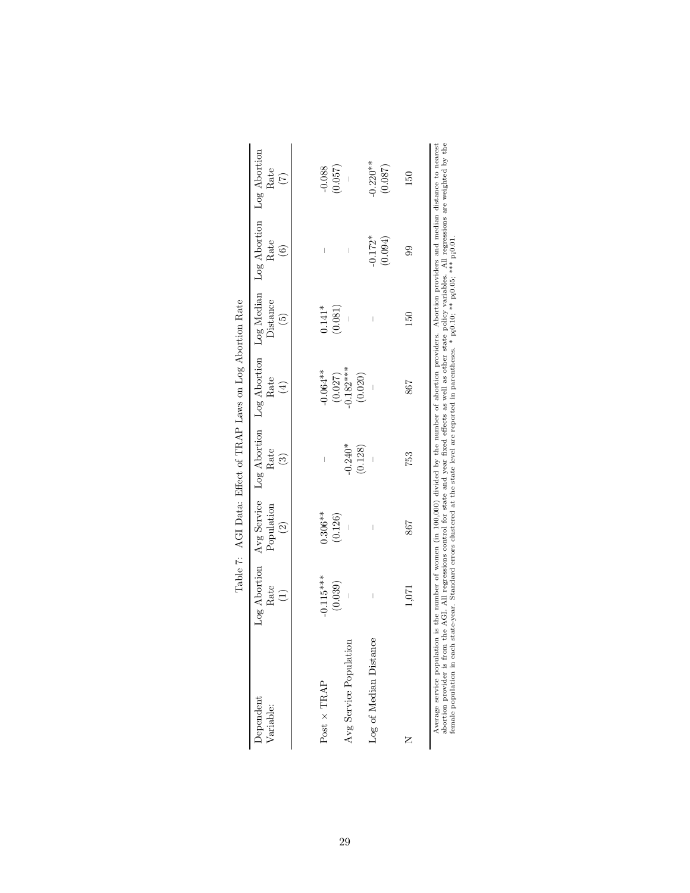<span id="page-28-0"></span>

|                                                                                                                                                                                                                                                                                                                                                                                                                                                                                               |             |                       | Table 7: AGI Data: Effect of TRAP Laws on Log Abortion Rate                                          |            |                                  |                                |             |
|-----------------------------------------------------------------------------------------------------------------------------------------------------------------------------------------------------------------------------------------------------------------------------------------------------------------------------------------------------------------------------------------------------------------------------------------------------------------------------------------------|-------------|-----------------------|------------------------------------------------------------------------------------------------------|------------|----------------------------------|--------------------------------|-------------|
| Dependent<br>Variable:                                                                                                                                                                                                                                                                                                                                                                                                                                                                        | Rate        | Population<br>$\odot$ | Log Abortion Avg Service Log Abortion Log Abortion Log Median Log Abortion Log Abortion<br>Rate<br>ව | Rate<br>€  | Distance<br>$\widetilde{\Theta}$ | Rate<br>$\widehat{\circ}$      | Rate<br>(7) |
|                                                                                                                                                                                                                                                                                                                                                                                                                                                                                               |             |                       |                                                                                                      |            |                                  |                                |             |
| $Post \times TRAP$                                                                                                                                                                                                                                                                                                                                                                                                                                                                            | $-0.115***$ | $0.306**$             | Ï                                                                                                    | $-0.064**$ | $0.141*$                         | Ī                              | $-0.088$    |
|                                                                                                                                                                                                                                                                                                                                                                                                                                                                                               | (0.039)     | (0.126)               |                                                                                                      | (0.027)    | (0.081)                          |                                | (0.057)     |
| Avg Service Population                                                                                                                                                                                                                                                                                                                                                                                                                                                                        |             |                       | $-0.240*$                                                                                            | $0.182***$ |                                  | $\begin{array}{c} \end{array}$ |             |
|                                                                                                                                                                                                                                                                                                                                                                                                                                                                                               |             |                       | (0.128)                                                                                              | (0.020)    |                                  |                                |             |
| Log of Median Distance                                                                                                                                                                                                                                                                                                                                                                                                                                                                        | I           | I                     |                                                                                                      |            | Ī                                | $-0.172*$                      | $-0.220**$  |
|                                                                                                                                                                                                                                                                                                                                                                                                                                                                                               |             |                       |                                                                                                      |            |                                  | (0.094)                        | (0.087)     |
| z                                                                                                                                                                                                                                                                                                                                                                                                                                                                                             |             | 798                   | 753                                                                                                  | 867        | 150                              | 99                             | 150         |
|                                                                                                                                                                                                                                                                                                                                                                                                                                                                                               | 1,071       |                       |                                                                                                      |            |                                  |                                |             |
| abortion provider is from the AGI. All regressions control for state and year fixed effects as well as other state policy variables. All regressions are weighted by the<br>Average service population is the number of women (in 100,000) divided by the number of abortion providers. Abortion providers and median distance to nearest<br>female population in each state-year. Standard errors clustered at the state level are reported in parentheses. * pj0.10; ** pj0.05; **** pj0.01 |             |                       |                                                                                                      |            |                                  |                                |             |
|                                                                                                                                                                                                                                                                                                                                                                                                                                                                                               |             |                       |                                                                                                      |            |                                  |                                |             |

29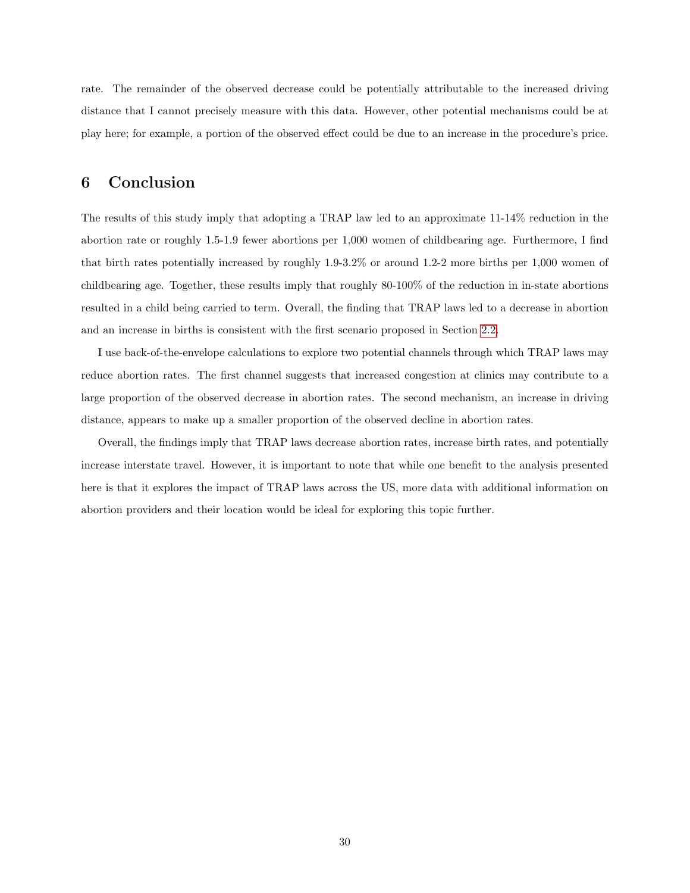rate. The remainder of the observed decrease could be potentially attributable to the increased driving distance that I cannot precisely measure with this data. However, other potential mechanisms could be at play here; for example, a portion of the observed effect could be due to an increase in the procedure's price.

## <span id="page-29-0"></span>6 Conclusion

The results of this study imply that adopting a TRAP law led to an approximate 11-14% reduction in the abortion rate or roughly 1.5-1.9 fewer abortions per 1,000 women of childbearing age. Furthermore, I find that birth rates potentially increased by roughly 1.9-3.2% or around 1.2-2 more births per 1,000 women of childbearing age. Together, these results imply that roughly 80-100% of the reduction in in-state abortions resulted in a child being carried to term. Overall, the finding that TRAP laws led to a decrease in abortion and an increase in births is consistent with the first scenario proposed in Section [2.2.](#page-4-0)

I use back-of-the-envelope calculations to explore two potential channels through which TRAP laws may reduce abortion rates. The first channel suggests that increased congestion at clinics may contribute to a large proportion of the observed decrease in abortion rates. The second mechanism, an increase in driving distance, appears to make up a smaller proportion of the observed decline in abortion rates.

Overall, the findings imply that TRAP laws decrease abortion rates, increase birth rates, and potentially increase interstate travel. However, it is important to note that while one benefit to the analysis presented here is that it explores the impact of TRAP laws across the US, more data with additional information on abortion providers and their location would be ideal for exploring this topic further.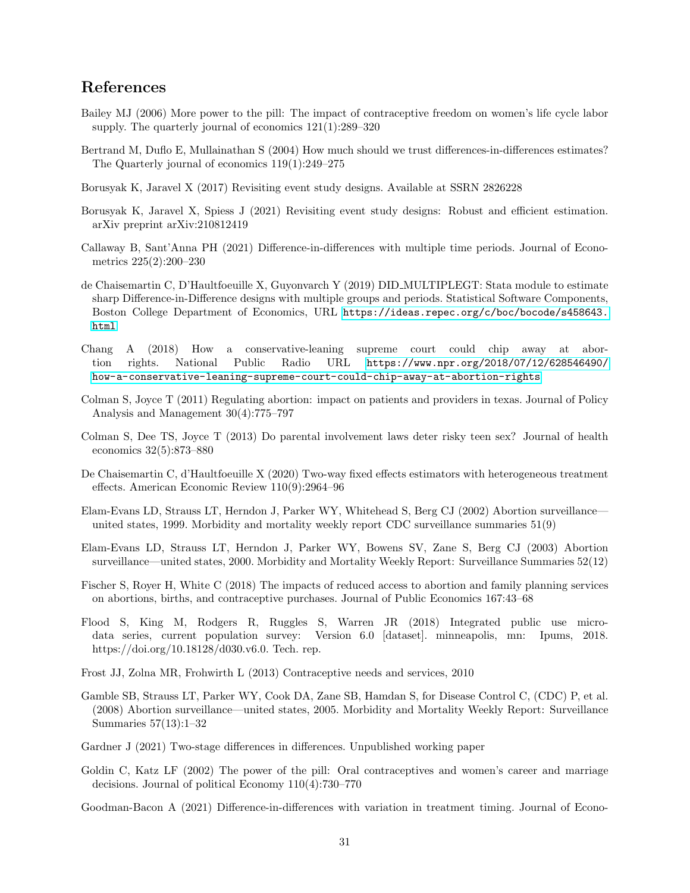## References

- <span id="page-30-2"></span>Bailey MJ (2006) More power to the pill: The impact of contraceptive freedom on women's life cycle labor supply. The quarterly journal of economics 121(1):289–320
- <span id="page-30-10"></span>Bertrand M, Duflo E, Mullainathan S (2004) How much should we trust differences-in-differences estimates? The Quarterly journal of economics 119(1):249–275
- <span id="page-30-3"></span>Borusyak K, Jaravel X (2017) Revisiting event study designs. Available at SSRN 2826228
- <span id="page-30-6"></span>Borusyak K, Jaravel X, Spiess J (2021) Revisiting event study designs: Robust and efficient estimation. arXiv preprint arXiv:210812419
- <span id="page-30-7"></span>Callaway B, Sant'Anna PH (2021) Difference-in-differences with multiple time periods. Journal of Econometrics 225(2):200–230
- <span id="page-30-9"></span>de Chaisemartin C, D'Haultfoeuille X, Guyonvarch Y (2019) DID MULTIPLEGT: Stata module to estimate sharp Difference-in-Difference designs with multiple groups and periods. Statistical Software Components, Boston College Department of Economics, URL [https://ideas.repec.org/c/boc/bocode/s458643.](https://ideas.repec.org/c/boc/bocode/s458643.html) [html](https://ideas.repec.org/c/boc/bocode/s458643.html)
- Chang A (2018) How a conservative-leaning supreme court could chip away at abortion rights. National Public Radio URL [https://www.npr.org/2018/07/12/628546490/](https://www.npr.org/2018/07/12/628546490/how-a-conservative-leaning-supreme-court-could-chip-away-at-abortion-rights) [how-a-conservative-leaning-supreme-court-could-chip-away-at-abortion-rights](https://www.npr.org/2018/07/12/628546490/how-a-conservative-leaning-supreme-court-could-chip-away-at-abortion-rights)
- Colman S, Joyce T (2011) Regulating abortion: impact on patients and providers in texas. Journal of Policy Analysis and Management 30(4):775–797
- Colman S, Dee TS, Joyce T (2013) Do parental involvement laws deter risky teen sex? Journal of health economics 32(5):873–880
- <span id="page-30-5"></span>De Chaisemartin C, d'Haultfoeuille X (2020) Two-way fixed effects estimators with heterogeneous treatment effects. American Economic Review 110(9):2964–96
- Elam-Evans LD, Strauss LT, Herndon J, Parker WY, Whitehead S, Berg CJ (2002) Abortion surveillance united states, 1999. Morbidity and mortality weekly report CDC surveillance summaries 51(9)
- Elam-Evans LD, Strauss LT, Herndon J, Parker WY, Bowens SV, Zane S, Berg CJ (2003) Abortion surveillance—united states, 2000. Morbidity and Mortality Weekly Report: Surveillance Summaries 52(12)
- <span id="page-30-0"></span>Fischer S, Royer H, White C (2018) The impacts of reduced access to abortion and family planning services on abortions, births, and contraceptive purchases. Journal of Public Economics 167:43–68
- Flood S, King M, Rodgers R, Ruggles S, Warren JR (2018) Integrated public use microdata series, current population survey: Version 6.0 [dataset]. minneapolis, mn: Ipums, 2018. https://doi.org/10.18128/d030.v6.0. Tech. rep.
- Frost JJ, Zolna MR, Frohwirth L (2013) Contraceptive needs and services, 2010
- Gamble SB, Strauss LT, Parker WY, Cook DA, Zane SB, Hamdan S, for Disease Control C, (CDC) P, et al. (2008) Abortion surveillance—united states, 2005. Morbidity and Mortality Weekly Report: Surveillance Summaries 57(13):1–32
- <span id="page-30-8"></span>Gardner J (2021) Two-stage differences in differences. Unpublished working paper
- <span id="page-30-1"></span>Goldin C, Katz LF (2002) The power of the pill: Oral contraceptives and women's career and marriage decisions. Journal of political Economy 110(4):730–770

<span id="page-30-4"></span>Goodman-Bacon A (2021) Difference-in-differences with variation in treatment timing. Journal of Econo-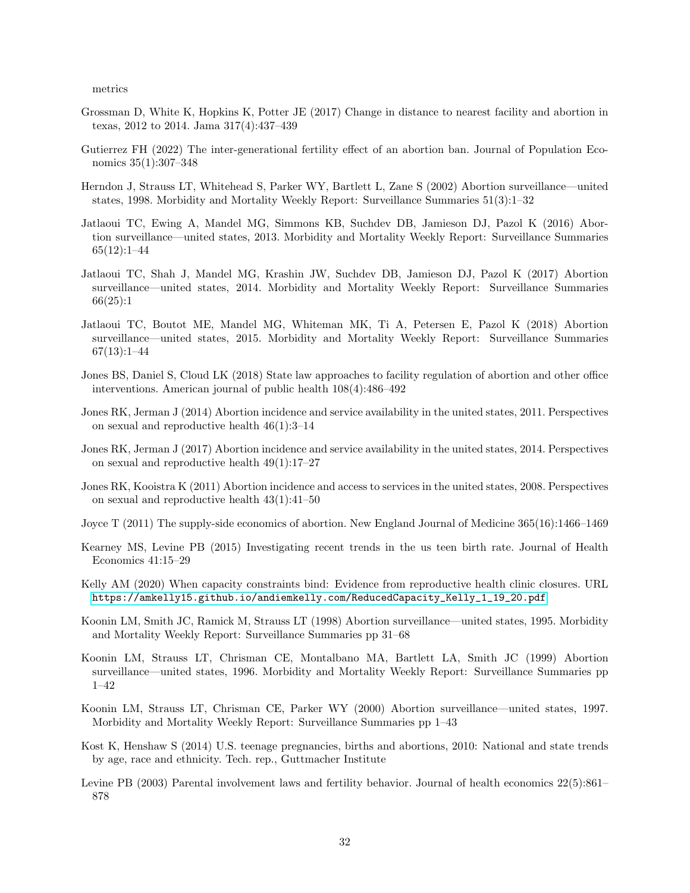metrics

- <span id="page-31-0"></span>Grossman D, White K, Hopkins K, Potter JE (2017) Change in distance to nearest facility and abortion in texas, 2012 to 2014. Jama 317(4):437–439
- <span id="page-31-4"></span>Gutierrez FH (2022) The inter-generational fertility effect of an abortion ban. Journal of Population Economics 35(1):307–348
- Herndon J, Strauss LT, Whitehead S, Parker WY, Bartlett L, Zane S (2002) Abortion surveillance—united states, 1998. Morbidity and Mortality Weekly Report: Surveillance Summaries 51(3):1–32
- Jatlaoui TC, Ewing A, Mandel MG, Simmons KB, Suchdev DB, Jamieson DJ, Pazol K (2016) Abortion surveillance—united states, 2013. Morbidity and Mortality Weekly Report: Surveillance Summaries 65(12):1–44
- Jatlaoui TC, Shah J, Mandel MG, Krashin JW, Suchdev DB, Jamieson DJ, Pazol K (2017) Abortion surveillance—united states, 2014. Morbidity and Mortality Weekly Report: Surveillance Summaries 66(25):1
- Jatlaoui TC, Boutot ME, Mandel MG, Whiteman MK, Ti A, Petersen E, Pazol K (2018) Abortion surveillance—united states, 2015. Morbidity and Mortality Weekly Report: Surveillance Summaries 67(13):1–44
- <span id="page-31-5"></span>Jones BS, Daniel S, Cloud LK (2018) State law approaches to facility regulation of abortion and other office interventions. American journal of public health 108(4):486–492
- Jones RK, Jerman J (2014) Abortion incidence and service availability in the united states, 2011. Perspectives on sexual and reproductive health 46(1):3–14
- Jones RK, Jerman J (2017) Abortion incidence and service availability in the united states, 2014. Perspectives on sexual and reproductive health 49(1):17–27
- Jones RK, Kooistra K (2011) Abortion incidence and access to services in the united states, 2008. Perspectives on sexual and reproductive health 43(1):41–50
- <span id="page-31-2"></span>Joyce T (2011) The supply-side economics of abortion. New England Journal of Medicine 365(16):1466–1469
- <span id="page-31-1"></span>Kearney MS, Levine PB (2015) Investigating recent trends in the us teen birth rate. Journal of Health Economics 41:15–29
- <span id="page-31-3"></span>Kelly AM (2020) When capacity constraints bind: Evidence from reproductive health clinic closures. URL [https://amkelly15.github.io/andiemkelly.com/ReducedCapacity\\_Kelly\\_1\\_19\\_20.pdf](https://amkelly15.github.io/andiemkelly.com/ReducedCapacity_Kelly_1_19_20.pdf)
- Koonin LM, Smith JC, Ramick M, Strauss LT (1998) Abortion surveillance—united states, 1995. Morbidity and Mortality Weekly Report: Surveillance Summaries pp 31–68
- Koonin LM, Strauss LT, Chrisman CE, Montalbano MA, Bartlett LA, Smith JC (1999) Abortion surveillance—united states, 1996. Morbidity and Mortality Weekly Report: Surveillance Summaries pp 1–42
- Koonin LM, Strauss LT, Chrisman CE, Parker WY (2000) Abortion surveillance—united states, 1997. Morbidity and Mortality Weekly Report: Surveillance Summaries pp 1–43
- Kost K, Henshaw S (2014) U.S. teenage pregnancies, births and abortions, 2010: National and state trends by age, race and ethnicity. Tech. rep., Guttmacher Institute
- Levine PB (2003) Parental involvement laws and fertility behavior. Journal of health economics 22(5):861– 878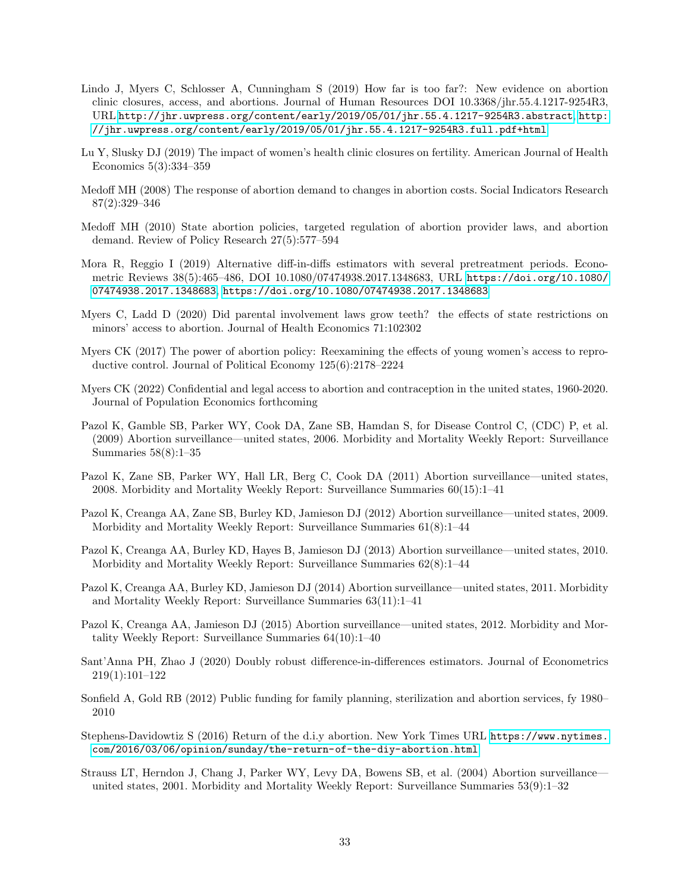- <span id="page-32-0"></span>Lindo J, Myers C, Schlosser A, Cunningham S (2019) How far is too far?: New evidence on abortion clinic closures, access, and abortions. Journal of Human Resources DOI 10.3368/jhr.55.4.1217-9254R3, URL <http://jhr.uwpress.org/content/early/2019/05/01/jhr.55.4.1217-9254R3.abstract>, [http:](http://jhr.uwpress.org/content/early/2019/05/01/jhr.55.4.1217-9254R3.full.pdf+html) [//jhr.uwpress.org/content/early/2019/05/01/jhr.55.4.1217-9254R3.full.pdf+html](http://jhr.uwpress.org/content/early/2019/05/01/jhr.55.4.1217-9254R3.full.pdf+html)
- <span id="page-32-5"></span>Lu Y, Slusky DJ (2019) The impact of women's health clinic closures on fertility. American Journal of Health Economics 5(3):334–359
- <span id="page-32-2"></span>Medoff MH (2008) The response of abortion demand to changes in abortion costs. Social Indicators Research 87(2):329–346
- <span id="page-32-1"></span>Medoff MH (2010) State abortion policies, targeted regulation of abortion provider laws, and abortion demand. Review of Policy Research 27(5):577–594
- Mora R, Reggio I (2019) Alternative diff-in-diffs estimators with several pretreatment periods. Econometric Reviews 38(5):465–486, DOI 10.1080/07474938.2017.1348683, URL [https://doi.org/10.1080/](https://doi.org/10.1080/07474938.2017.1348683) [07474938.2017.1348683](https://doi.org/10.1080/07474938.2017.1348683), <https://doi.org/10.1080/07474938.2017.1348683>
- <span id="page-32-6"></span>Myers C, Ladd D (2020) Did parental involvement laws grow teeth? the effects of state restrictions on minors' access to abortion. Journal of Health Economics 71:102302
- <span id="page-32-3"></span>Myers CK (2017) The power of abortion policy: Reexamining the effects of young women's access to reproductive control. Journal of Political Economy 125(6):2178–2224
- <span id="page-32-4"></span>Myers CK (2022) Confidential and legal access to abortion and contraception in the united states, 1960-2020. Journal of Population Economics forthcoming
- Pazol K, Gamble SB, Parker WY, Cook DA, Zane SB, Hamdan S, for Disease Control C, (CDC) P, et al. (2009) Abortion surveillance—united states, 2006. Morbidity and Mortality Weekly Report: Surveillance Summaries 58(8):1–35
- Pazol K, Zane SB, Parker WY, Hall LR, Berg C, Cook DA (2011) Abortion surveillance—united states, 2008. Morbidity and Mortality Weekly Report: Surveillance Summaries 60(15):1–41
- Pazol K, Creanga AA, Zane SB, Burley KD, Jamieson DJ (2012) Abortion surveillance—united states, 2009. Morbidity and Mortality Weekly Report: Surveillance Summaries 61(8):1–44
- Pazol K, Creanga AA, Burley KD, Hayes B, Jamieson DJ (2013) Abortion surveillance—united states, 2010. Morbidity and Mortality Weekly Report: Surveillance Summaries 62(8):1–44
- Pazol K, Creanga AA, Burley KD, Jamieson DJ (2014) Abortion surveillance—united states, 2011. Morbidity and Mortality Weekly Report: Surveillance Summaries 63(11):1–41
- Pazol K, Creanga AA, Jamieson DJ (2015) Abortion surveillance—united states, 2012. Morbidity and Mortality Weekly Report: Surveillance Summaries 64(10):1–40
- Sant'Anna PH, Zhao J (2020) Doubly robust difference-in-differences estimators. Journal of Econometrics 219(1):101–122
- Sonfield A, Gold RB (2012) Public funding for family planning, sterilization and abortion services, fy 1980– 2010
- Stephens-Davidowtiz S (2016) Return of the d.i.y abortion. New York Times URL [https://www.nytimes.](https://www.nytimes.com/2016/03/06/opinion/sunday/the-return-of-the-diy-abortion.html) [com/2016/03/06/opinion/sunday/the-return-of-the-diy-abortion.html](https://www.nytimes.com/2016/03/06/opinion/sunday/the-return-of-the-diy-abortion.html)
- Strauss LT, Herndon J, Chang J, Parker WY, Levy DA, Bowens SB, et al. (2004) Abortion surveillance united states, 2001. Morbidity and Mortality Weekly Report: Surveillance Summaries 53(9):1–32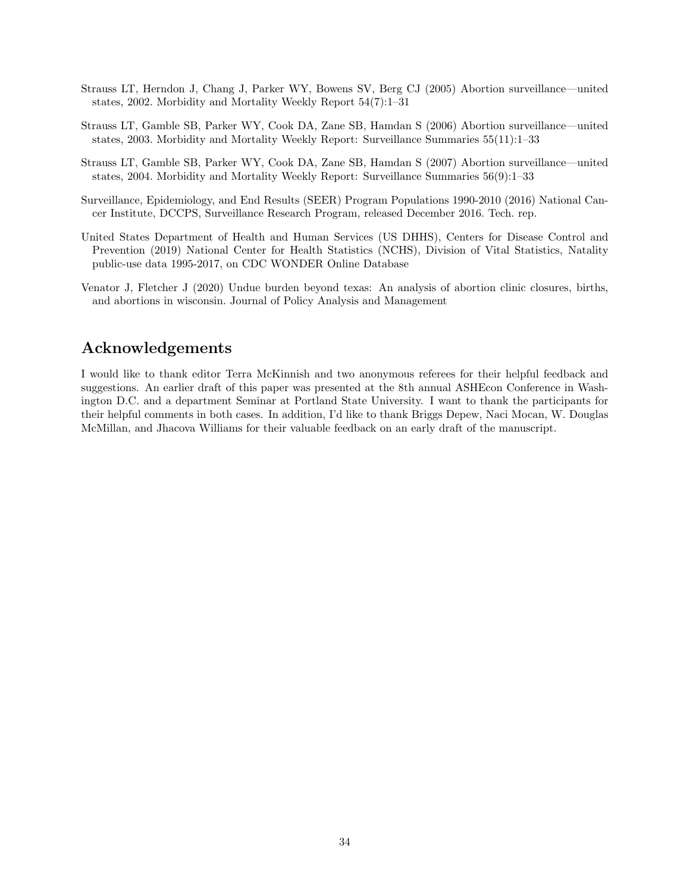- Strauss LT, Herndon J, Chang J, Parker WY, Bowens SV, Berg CJ (2005) Abortion surveillance—united states, 2002. Morbidity and Mortality Weekly Report 54(7):1–31
- Strauss LT, Gamble SB, Parker WY, Cook DA, Zane SB, Hamdan S (2006) Abortion surveillance—united states, 2003. Morbidity and Mortality Weekly Report: Surveillance Summaries 55(11):1–33
- Strauss LT, Gamble SB, Parker WY, Cook DA, Zane SB, Hamdan S (2007) Abortion surveillance—united states, 2004. Morbidity and Mortality Weekly Report: Surveillance Summaries 56(9):1–33
- Surveillance, Epidemiology, and End Results (SEER) Program Populations 1990-2010 (2016) National Cancer Institute, DCCPS, Surveillance Research Program, released December 2016. Tech. rep.
- United States Department of Health and Human Services (US DHHS), Centers for Disease Control and Prevention (2019) National Center for Health Statistics (NCHS), Division of Vital Statistics, Natality public-use data 1995-2017, on CDC WONDER Online Database
- <span id="page-33-0"></span>Venator J, Fletcher J (2020) Undue burden beyond texas: An analysis of abortion clinic closures, births, and abortions in wisconsin. Journal of Policy Analysis and Management

## Acknowledgements

I would like to thank editor Terra McKinnish and two anonymous referees for their helpful feedback and suggestions. An earlier draft of this paper was presented at the 8th annual ASHEcon Conference in Washington D.C. and a department Seminar at Portland State University. I want to thank the participants for their helpful comments in both cases. In addition, I'd like to thank Briggs Depew, Naci Mocan, W. Douglas McMillan, and Jhacova Williams for their valuable feedback on an early draft of the manuscript.